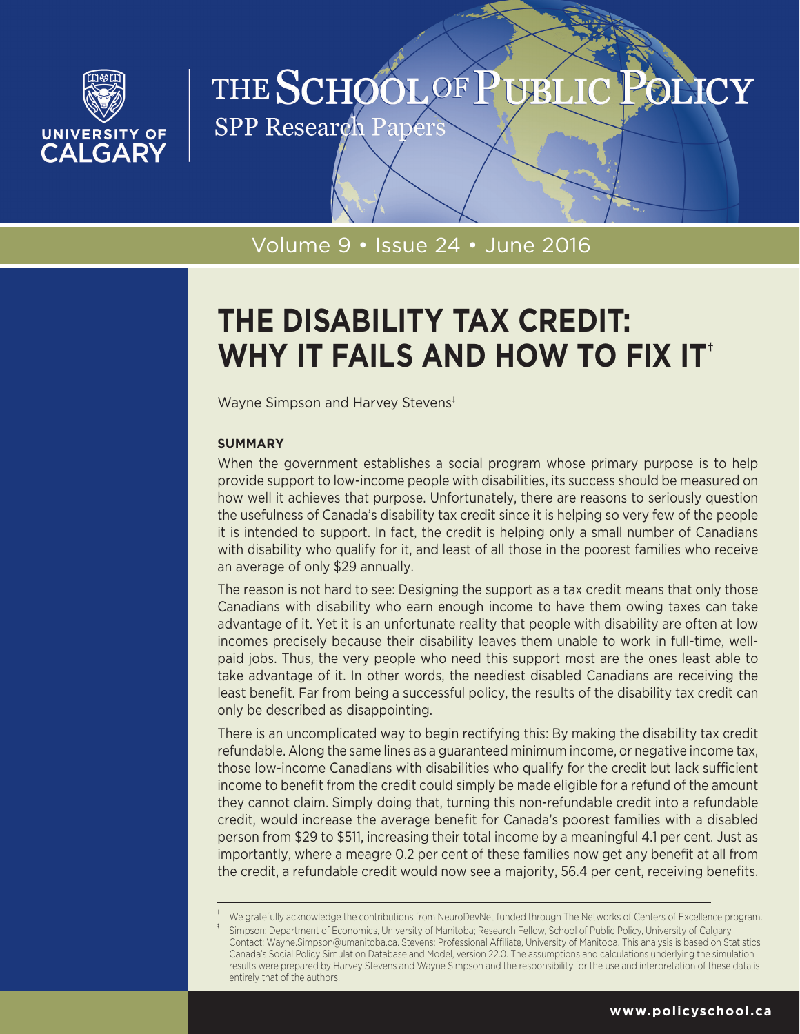

# THE SCHOOL OF PUBLI OLICY

**SPP Research Papers** 

# Volume 9 • Issue 24 • June 2016

# **THE DISABILITY TAX CREDIT: WHY IT FAILS AND HOW TO FIX IT†**

Wayne Simpson and Harvey Stevens<sup>t</sup>

# **SUMMARY**

When the government establishes a social program whose primary purpose is to help provide support to low-income people with disabilities, its success should be measured on how well it achieves that purpose. Unfortunately, there are reasons to seriously question the usefulness of Canada's disability tax credit since it is helping so very few of the people it is intended to support. In fact, the credit is helping only a small number of Canadians with disability who qualify for it, and least of all those in the poorest families who receive an average of only \$29 annually.

The reason is not hard to see: Designing the support as a tax credit means that only those Canadians with disability who earn enough income to have them owing taxes can take advantage of it. Yet it is an unfortunate reality that people with disability are often at low incomes precisely because their disability leaves them unable to work in full-time, wellpaid jobs. Thus, the very people who need this support most are the ones least able to take advantage of it. In other words, the neediest disabled Canadians are receiving the least benefit. Far from being a successful policy, the results of the disability tax credit can only be described as disappointing.

There is an uncomplicated way to begin rectifying this: By making the disability tax credit refundable. Along the same lines as a guaranteed minimum income, or negative income tax, those low-income Canadians with disabilities who qualify for the credit but lack sufficient income to benefit from the credit could simply be made eligible for a refund of the amount they cannot claim. Simply doing that, turning this non-refundable credit into a refundable credit, would increase the average benefit for Canada's poorest families with a disabled person from \$29 to \$511, increasing their total income by a meaningful 4.1 per cent. Just as importantly, where a meagre 0.2 per cent of these families now get any benefit at all from the credit, a refundable credit would now see a majority, 56.4 per cent, receiving benefits.

We gratefully acknowledge the contributions from NeuroDevNet funded through The Networks of Centers of Excellence program. Simpson: Department of Economics, University of Manitoba; Research Fellow, School of Public Policy, University of Calgary. Contact: Wayne.Simpson@umanitoba.ca. Stevens: Professional Affiliate, University of Manitoba. This analysis is based on Statistics Canada's Social Policy Simulation Database and Model, version 22.0. The assumptions and calculations underlying the simulation results were prepared by Harvey Stevens and Wayne Simpson and the responsibility for the use and interpretation of these data is entirely that of the authors.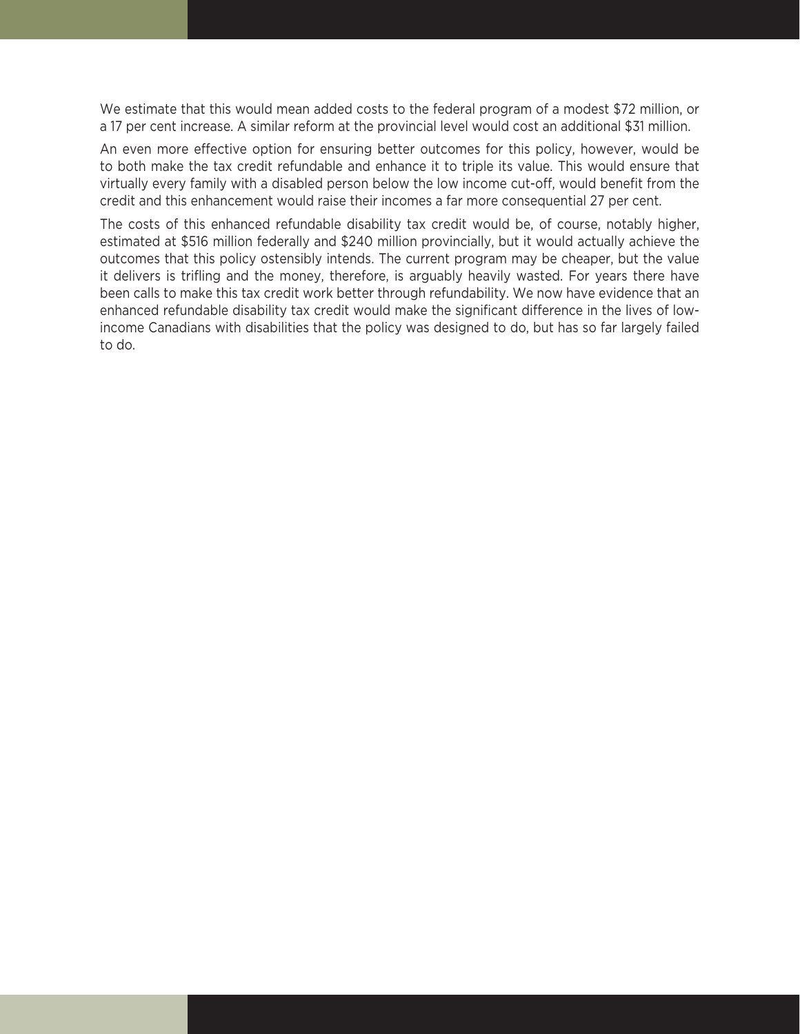We estimate that this would mean added costs to the federal program of a modest \$72 million, or a 17 per cent increase. A similar reform at the provincial level would cost an additional \$31 million.

An even more effective option for ensuring better outcomes for this policy, however, would be to both make the tax credit refundable and enhance it to triple its value. This would ensure that virtually every family with a disabled person below the low income cut-off, would benefit from the credit and this enhancement would raise their incomes a far more consequential 27 per cent.

The costs of this enhanced refundable disability tax credit would be, of course, notably higher, estimated at \$516 million federally and \$240 million provincially, but it would actually achieve the outcomes that this policy ostensibly intends. The current program may be cheaper, but the value it delivers is trifling and the money, therefore, is arguably heavily wasted. For years there have been calls to make this tax credit work better through refundability. We now have evidence that an enhanced refundable disability tax credit would make the significant difference in the lives of lowincome Canadians with disabilities that the policy was designed to do, but has so far largely failed to do.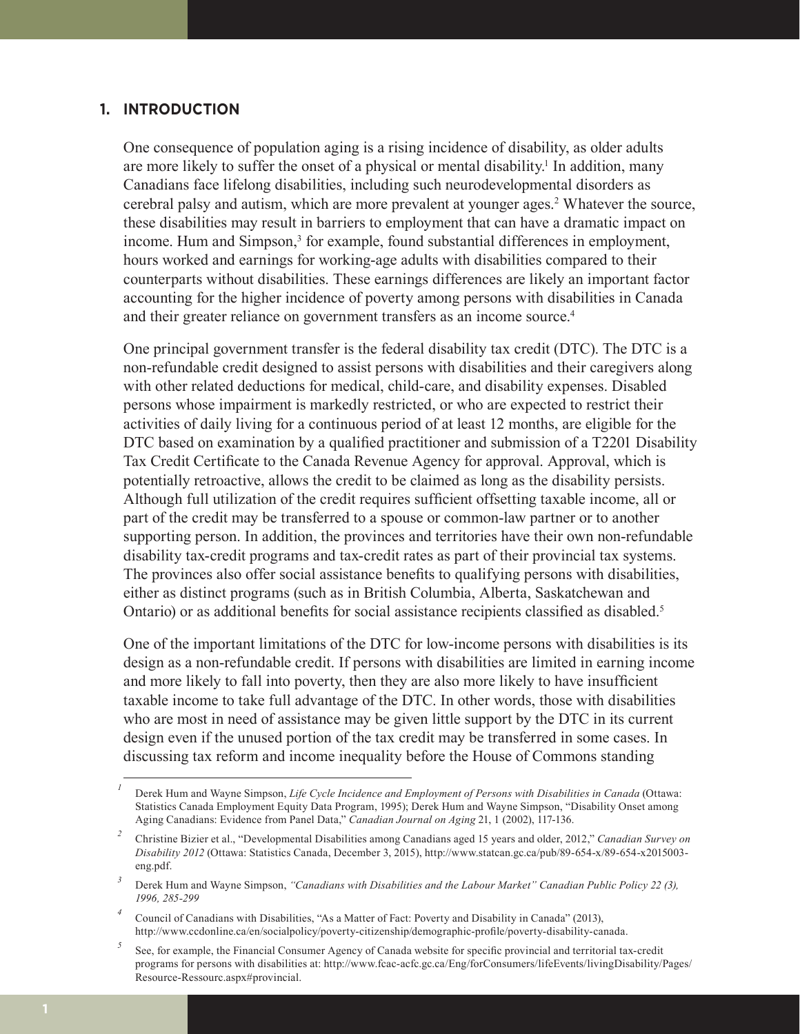# **1. INTRODUCTION**

One consequence of population aging is a rising incidence of disability, as older adults are more likely to suffer the onset of a physical or mental disability.<sup>1</sup> In addition, many Canadians face lifelong disabilities, including such neurodevelopmental disorders as cerebral palsy and autism, which are more prevalent at younger ages.<sup>2</sup> Whatever the source, these disabilities may result in barriers to employment that can have a dramatic impact on income. Hum and Simpson,<sup>3</sup> for example, found substantial differences in employment, hours worked and earnings for working-age adults with disabilities compared to their counterparts without disabilities. These earnings differences are likely an important factor accounting for the higher incidence of poverty among persons with disabilities in Canada and their greater reliance on government transfers as an income source.<sup>4</sup>

One principal government transfer is the federal disability tax credit (DTC). The DTC is a non-refundable credit designed to assist persons with disabilities and their caregivers along with other related deductions for medical, child-care, and disability expenses. Disabled persons whose impairment is markedly restricted, or who are expected to restrict their activities of daily living for a continuous period of at least 12 months, are eligible for the DTC based on examination by a qualified practitioner and submission of a T2201 Disability Tax Credit Certificate to the Canada Revenue Agency for approval. Approval, which is potentially retroactive, allows the credit to be claimed as long as the disability persists. Although full utilization of the credit requires sufficient offsetting taxable income, all or part of the credit may be transferred to a spouse or common-law partner or to another supporting person. In addition, the provinces and territories have their own non-refundable disability tax-credit programs and tax-credit rates as part of their provincial tax systems. The provinces also offer social assistance benefits to qualifying persons with disabilities, either as distinct programs (such as in British Columbia, Alberta, Saskatchewan and Ontario) or as additional benefits for social assistance recipients classified as disabled.<sup>5</sup>

One of the important limitations of the DTC for low-income persons with disabilities is its design as a non-refundable credit. If persons with disabilities are limited in earning income and more likely to fall into poverty, then they are also more likely to have insufficient taxable income to take full advantage of the DTC. In other words, those with disabilities who are most in need of assistance may be given little support by the DTC in its current design even if the unused portion of the tax credit may be transferred in some cases. In discussing tax reform and income inequality before the House of Commons standing

*<sup>1</sup>* Derek Hum and Wayne Simpson, *Life Cycle Incidence and Employment of Persons with Disabilities in Canada* (Ottawa: Statistics Canada Employment Equity Data Program, 1995); Derek Hum and Wayne Simpson, "Disability Onset among Aging Canadians: Evidence from Panel Data," *Canadian Journal on Aging* 21, 1 (2002), 117-136.

*<sup>2</sup>* Christine Bizier et al., "Developmental Disabilities among Canadians aged 15 years and older, 2012," *Canadian Survey on Disability 2012* (Ottawa: Statistics Canada, December 3, 2015), http://www.statcan.gc.ca/pub/89-654-x/89-654-x2015003 eng.pdf.

*<sup>3</sup>* Derek Hum and Wayne Simpson, *"Canadians with Disabilities and the Labour Market" Canadian Public Policy 22 (3), 1996, 285-299*

*<sup>4</sup>* Council of Canadians with Disabilities, "As a Matter of Fact: Poverty and Disability in Canada" (2013), http://www.ccdonline.ca/en/socialpolicy/poverty-citizenship/demographic-profile/poverty-disability-canada.

<sup>&</sup>lt;sup>5</sup> See, for example, the Financial Consumer Agency of Canada website for specific provincial and territorial tax-credit programs for persons with disabilities at: http://www.fcac-acfc.gc.ca/Eng/forConsumers/lifeEvents/livingDisability/Pages/ Resource-Ressourc.aspx#provincial.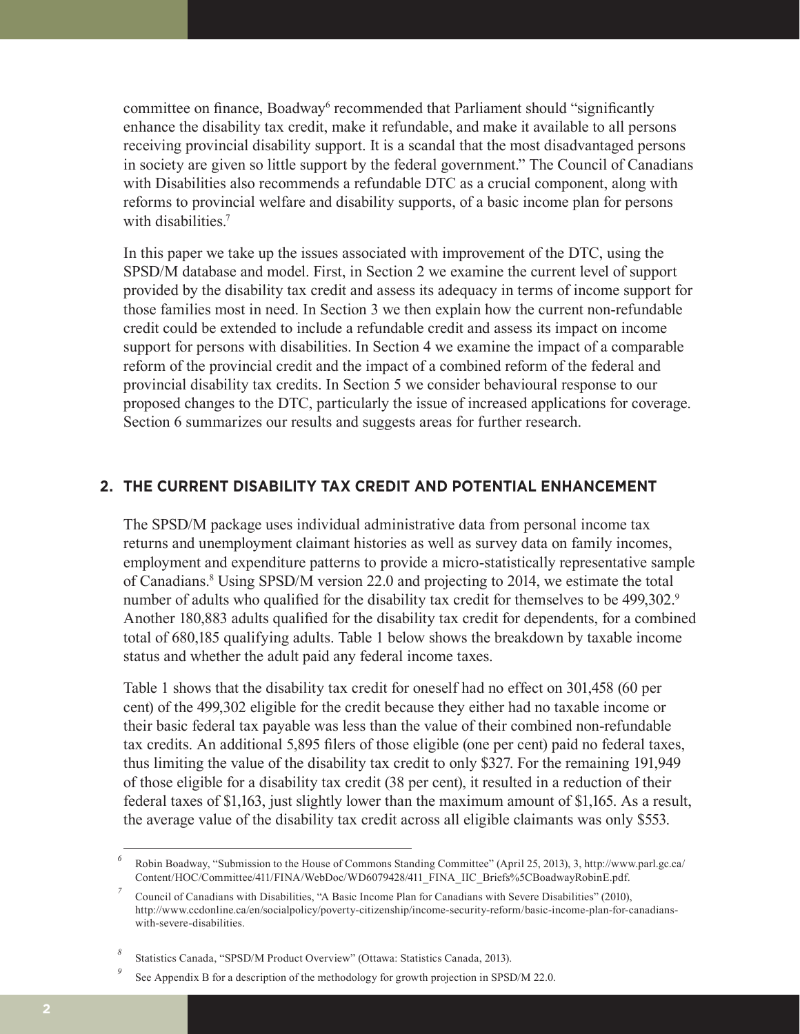committee on finance, Boadway<sup>6</sup> recommended that Parliament should "significantly enhance the disability tax credit, make it refundable, and make it available to all persons receiving provincial disability support. It is a scandal that the most disadvantaged persons in society are given so little support by the federal government." The Council of Canadians with Disabilities also recommends a refundable DTC as a crucial component, along with reforms to provincial welfare and disability supports, of a basic income plan for persons with disabilities<sup>7</sup>

In this paper we take up the issues associated with improvement of the DTC, using the SPSD/M database and model. First, in Section 2 we examine the current level of support provided by the disability tax credit and assess its adequacy in terms of income support for those families most in need. In Section 3 we then explain how the current non-refundable credit could be extended to include a refundable credit and assess its impact on income support for persons with disabilities. In Section 4 we examine the impact of a comparable reform of the provincial credit and the impact of a combined reform of the federal and provincial disability tax credits. In Section 5 we consider behavioural response to our proposed changes to the DTC, particularly the issue of increased applications for coverage. Section 6 summarizes our results and suggests areas for further research.

# **2. THE CURRENT DISABILITY TAX CREDIT AND POTENTIAL ENHANCEMENT**

The SPSD/M package uses individual administrative data from personal income tax returns and unemployment claimant histories as well as survey data on family incomes, employment and expenditure patterns to provide a micro-statistically representative sample of Canadians.<sup>8</sup> Using SPSD/M version 22.0 and projecting to 2014, we estimate the total number of adults who qualified for the disability tax credit for themselves to be 499,302.9 Another 180,883 adults qualified for the disability tax credit for dependents, for a combined total of 680,185 qualifying adults. Table 1 below shows the breakdown by taxable income status and whether the adult paid any federal income taxes.

Table 1 shows that the disability tax credit for oneself had no effect on 301,458 (60 per cent) of the 499,302 eligible for the credit because they either had no taxable income or their basic federal tax payable was less than the value of their combined non-refundable tax credits. An additional 5,895 filers of those eligible (one per cent) paid no federal taxes, thus limiting the value of the disability tax credit to only \$327. For the remaining 191,949 of those eligible for a disability tax credit (38 per cent), it resulted in a reduction of their federal taxes of \$1,163, just slightly lower than the maximum amount of \$1,165. As a result, the average value of the disability tax credit across all eligible claimants was only \$553.

*<sup>6</sup>* Robin Boadway, "Submission to the House of Commons Standing Committee" (April 25, 2013), 3, http://www.parl.gc.ca/ Content/HOC/Committee/411/FINA/WebDoc/WD6079428/411\_FINA\_IIC\_Briefs%5CBoadwayRobinE.pdf.

*<sup>7</sup>* Council of Canadians with Disabilities, "A Basic Income Plan for Canadians with Severe Disabilities" (2010), http://www.ccdonline.ca/en/socialpolicy/poverty-citizenship/income-security-reform/basic-income-plan-for-canadianswith-severe-disabilities.

*<sup>8</sup>* Statistics Canada, "SPSD/M Product Overview" (Ottawa: Statistics Canada, 2013).

<sup>&</sup>lt;sup>9</sup> See Appendix B for a description of the methodology for growth projection in SPSD/M 22.0.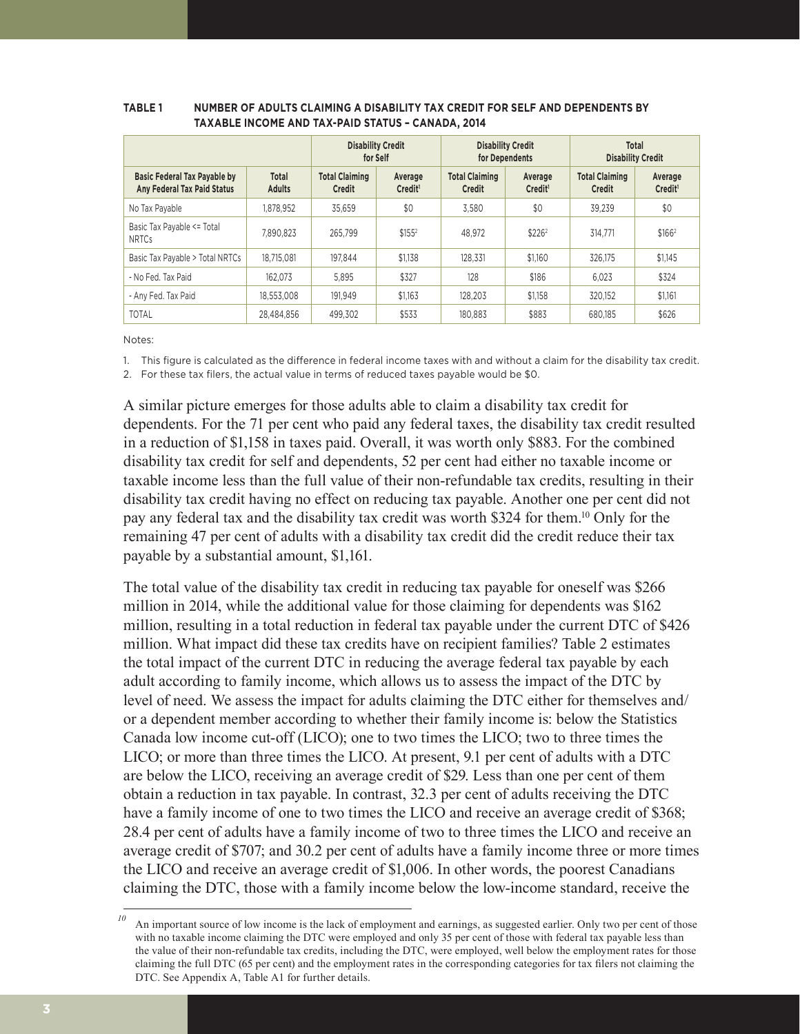|                                                                           |                               | <b>Disability Credit</b><br>for Self   |                                | <b>Disability Credit</b><br>for Dependents |                                | Total<br><b>Disability Credit</b> |                                |
|---------------------------------------------------------------------------|-------------------------------|----------------------------------------|--------------------------------|--------------------------------------------|--------------------------------|-----------------------------------|--------------------------------|
| <b>Basic Federal Tax Payable by</b><br><b>Any Federal Tax Paid Status</b> | <b>Total</b><br><b>Adults</b> | <b>Total Claiming</b><br><b>Credit</b> | Average<br>Credit <sup>1</sup> | <b>Total Claiming</b><br>Credit            | Average<br>Credit <sup>1</sup> | <b>Total Claiming</b><br>Credit   | Average<br>Credit <sup>1</sup> |
| No Tax Payable                                                            | 1.878.952                     | 35.659                                 | \$0                            | 3.580                                      | \$0                            | 39.239                            | \$0                            |
| Basic Tax Payable <= Total<br><b>NRTCs</b>                                | 7.890.823                     | 265.799                                | $$155^2$                       | 48.972                                     | $$226^2$                       | 314.771                           | $$166^2$                       |
| Basic Tax Payable > Total NRTCs                                           | 18.715.081                    | 197.844                                | \$1.138                        | 128.331                                    | \$1.160                        | 326.175                           | \$1.145                        |
| - No Fed. Tax Paid                                                        | 162.073                       | 5.895                                  | \$327                          | 128                                        | \$186                          | 6.023                             | \$324                          |
| - Any Fed. Tax Paid                                                       | 18.553.008                    | 191.949                                | \$1.163                        | 128,203                                    | \$1.158                        | 320.152                           | \$1,161                        |
| <b>TOTAL</b>                                                              | 28,484,856                    | 499.302                                | \$533                          | 180.883                                    | \$883                          | 680.185                           | \$626                          |

#### **TABLE 1 NUMBER OF ADULTS CLAIMING A DISABILITY TAX CREDIT FOR SELF AND DEPENDENTS BY TAXABLE INCOME AND TAX-PAID STATUS – CANADA, 2014**

Notes:

1. This figure is calculated as the difference in federal income taxes with and without a claim for the disability tax credit.

2. For these tax filers, the actual value in terms of reduced taxes payable would be \$0.

A similar picture emerges for those adults able to claim a disability tax credit for dependents. For the 71 per cent who paid any federal taxes, the disability tax credit resulted in a reduction of \$1,158 in taxes paid. Overall, it was worth only \$883. For the combined disability tax credit for self and dependents, 52 per cent had either no taxable income or taxable income less than the full value of their non-refundable tax credits, resulting in their disability tax credit having no effect on reducing tax payable. Another one per cent did not pay any federal tax and the disability tax credit was worth \$324 for them.<sup>10</sup> Only for the remaining 47 per cent of adults with a disability tax credit did the credit reduce their tax payable by a substantial amount, \$1,161.

The total value of the disability tax credit in reducing tax payable for oneself was \$266 million in 2014, while the additional value for those claiming for dependents was \$162 million, resulting in a total reduction in federal tax payable under the current DTC of \$426 million. What impact did these tax credits have on recipient families? Table 2 estimates the total impact of the current DTC in reducing the average federal tax payable by each adult according to family income, which allows us to assess the impact of the DTC by level of need. We assess the impact for adults claiming the DTC either for themselves and/ or a dependent member according to whether their family income is: below the Statistics Canada low income cut-off (LICO); one to two times the LICO; two to three times the LICO; or more than three times the LICO. At present, 9.1 per cent of adults with a DTC are below the LICO, receiving an average credit of \$29. Less than one per cent of them obtain a reduction in tax payable. In contrast, 32.3 per cent of adults receiving the DTC have a family income of one to two times the LICO and receive an average credit of \$368; 28.4 per cent of adults have a family income of two to three times the LICO and receive an average credit of \$707; and 30.2 per cent of adults have a family income three or more times the LICO and receive an average credit of \$1,006. In other words, the poorest Canadians claiming the DTC, those with a family income below the low-income standard, receive the

<sup>&</sup>lt;sup>10</sup> An important source of low income is the lack of employment and earnings, as suggested earlier. Only two per cent of those with no taxable income claiming the DTC were employed and only 35 per cent of those with federal tax payable less than the value of their non-refundable tax credits, including the DTC, were employed, well below the employment rates for those claiming the full DTC (65 per cent) and the employment rates in the corresponding categories for tax filers not claiming the DTC. See Appendix A, Table A1 for further details.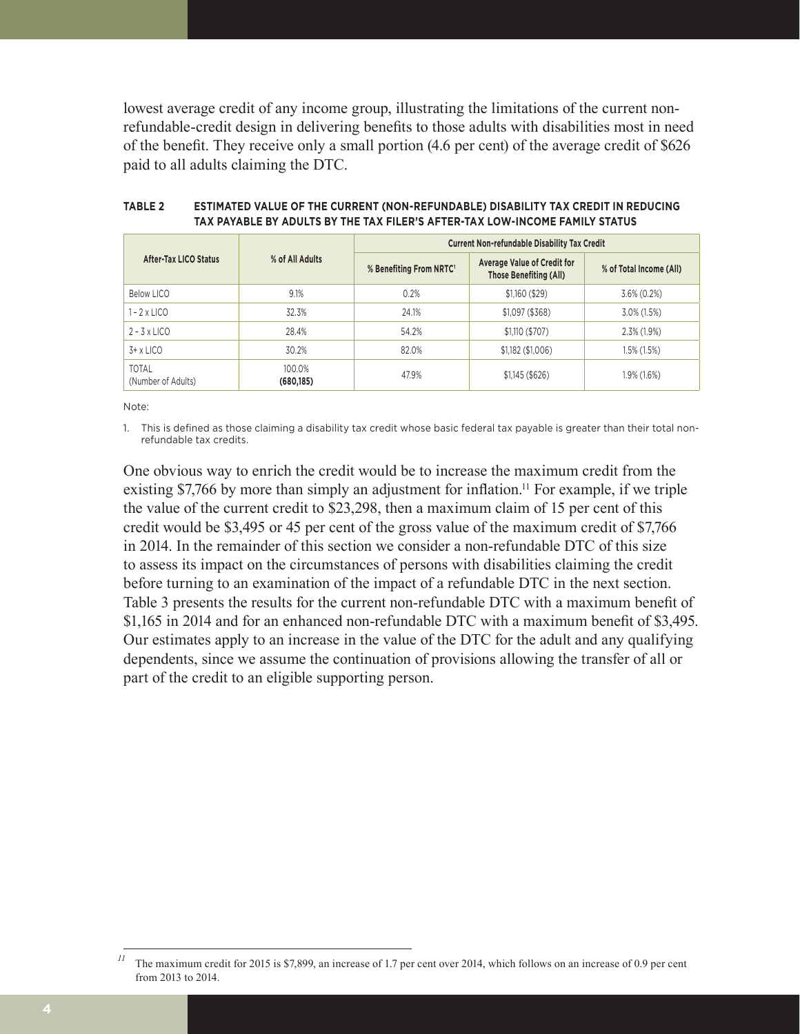lowest average credit of any income group, illustrating the limitations of the current nonrefundable-credit design in delivering benefits to those adults with disabilities most in need of the benefit. They receive only a small portion (4.6 per cent) of the average credit of \$626 paid to all adults claiming the DTC.

| After-Tax LICO Status              |                      | <b>Current Non-refundable Disability Tax Credit</b> |                                                              |                         |  |  |  |
|------------------------------------|----------------------|-----------------------------------------------------|--------------------------------------------------------------|-------------------------|--|--|--|
|                                    | % of All Adults      | % Benefiting From NRTC <sup>1</sup>                 | <b>Average Value of Credit for</b><br>Those Benefiting (All) | % of Total Income (All) |  |  |  |
| Below LICO                         | 9.1%                 | 0.2%                                                | \$1,160 (\$29)                                               | $3.6\% (0.2\%)$         |  |  |  |
| 1 – 2 x LICO                       | 32.3%                | 24.1%                                               | $$1,097($ \$368)                                             | $3.0\%$ (1.5%)          |  |  |  |
| $2 - 3 \times$ LICO                | 28.4%                | 54.2%                                               | \$1,110 (\$707)                                              | $2.3\%$ (1.9%)          |  |  |  |
| $3+x$ LICO                         | 30.2%                | 82.0%                                               | $$1,182$ (\$1,006)                                           | 1.5% (1.5%)             |  |  |  |
| <b>TOTAL</b><br>(Number of Adults) | 100.0%<br>(680, 185) | 47.9%                                               | \$1,145(\$626)                                               | 1.9% (1.6%)             |  |  |  |

| <b>TABLE 2</b> | <b>ESTIMATED VALUE OF THE CURRENT (NON-REFUNDABLE) DISABILITY TAX CREDIT IN REDUCING</b> |
|----------------|------------------------------------------------------------------------------------------|
|                | TAX PAYABLE BY ADULTS BY THE TAX FILER'S AFTER-TAX LOW-INCOME FAMILY STATUS              |

Note:

1. This is defined as those claiming a disability tax credit whose basic federal tax payable is greater than their total nonrefundable tax credits.

One obvious way to enrich the credit would be to increase the maximum credit from the existing \$7,766 by more than simply an adjustment for inflation.<sup>11</sup> For example, if we triple the value of the current credit to \$23,298, then a maximum claim of 15 per cent of this credit would be \$3,495 or 45 per cent of the gross value of the maximum credit of \$7,766 in 2014. In the remainder of this section we consider a non-refundable DTC of this size to assess its impact on the circumstances of persons with disabilities claiming the credit before turning to an examination of the impact of a refundable DTC in the next section. Table 3 presents the results for the current non-refundable DTC with a maximum benefit of \$1,165 in 2014 and for an enhanced non-refundable DTC with a maximum benefit of \$3,495. Our estimates apply to an increase in the value of the DTC for the adult and any qualifying dependents, since we assume the continuation of provisions allowing the transfer of all or part of the credit to an eligible supporting person.

<sup>&</sup>lt;sup>11</sup> The maximum credit for 2015 is \$7,899, an increase of 1.7 per cent over 2014, which follows on an increase of 0.9 per cent from 2013 to 2014.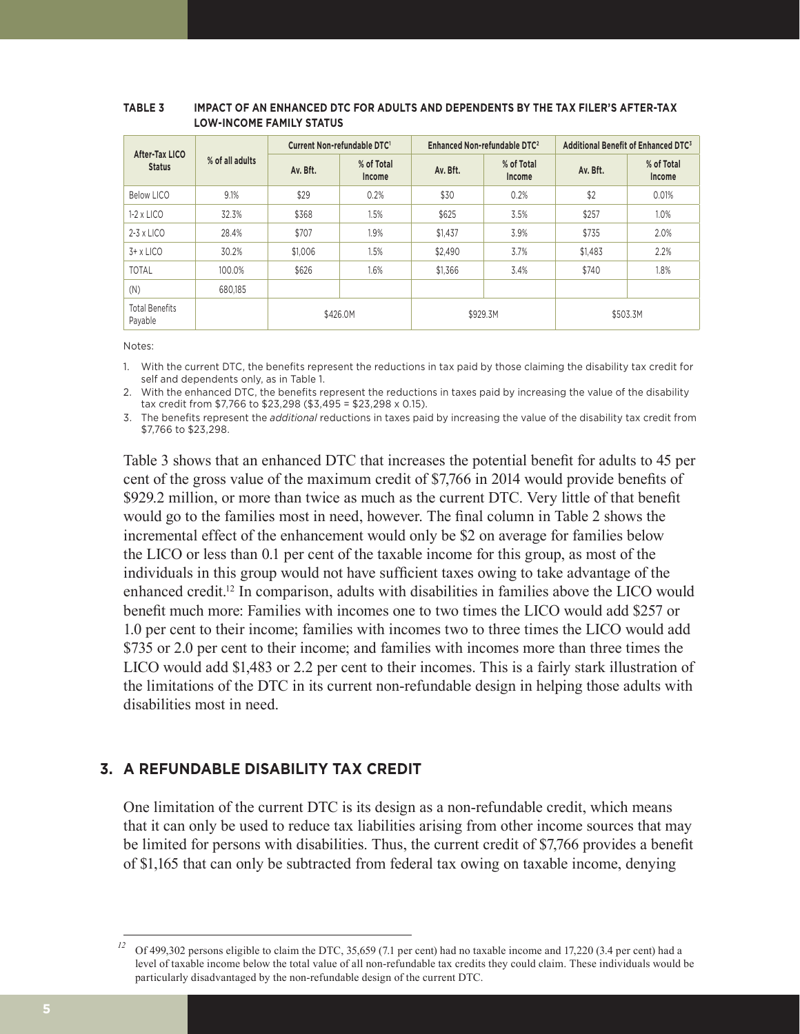| After-Tax LICO<br><b>Status</b>  |                 | Current Non-refundable DTC1 |                      |          | Enhanced Non-refundable DTC <sup>2</sup> | Additional Benefit of Enhanced DTC3 |                      |  |
|----------------------------------|-----------------|-----------------------------|----------------------|----------|------------------------------------------|-------------------------------------|----------------------|--|
|                                  | % of all adults | Av. Bft.                    | % of Total<br>Income | Av. Bft. | % of Total<br>Income                     | Av. Bft.                            | % of Total<br>Income |  |
| Below LICO                       | 9.1%            | \$29                        | 0.2%                 | \$30     | 0.2%                                     | \$2                                 | 0.01%                |  |
| $1-2 \times LICO$                | 32.3%           | \$368                       | 1.5%                 | \$625    | 3.5%                                     | \$257                               | 1.0%                 |  |
| $2-3 \times LICO$                | 28.4%           | \$707                       | 1.9%                 | \$1.437  | 3.9%                                     | \$735                               | 2.0%                 |  |
| $3+x$ LICO                       | 30.2%           | \$1,006                     | 1.5%                 | \$2,490  | 3.7%                                     | \$1,483                             | 2.2%                 |  |
| <b>TOTAL</b>                     | 100.0%          | \$626                       | 1.6%                 | \$1.366  | 3.4%                                     | \$740                               | 1.8%                 |  |
| (N)                              | 680.185         |                             |                      |          |                                          |                                     |                      |  |
| <b>Total Benefits</b><br>Payable |                 | \$426.0M                    |                      | \$929.3M |                                          | \$503.3M                            |                      |  |

#### **TABLE 3 IMPACT OF AN ENHANCED DTC FOR ADULTS AND DEPENDENTS BY THE TAX FILER'S AFTER-TAX LOW-INCOME FAMILY STATUS**

Notes:

1. With the current DTC, the benefits represent the reductions in tax paid by those claiming the disability tax credit for self and dependents only, as in Table 1.

2. With the enhanced DTC, the benefits represent the reductions in taxes paid by increasing the value of the disability tax credit from \$7,766 to \$23,298 (\$3,495 = \$23,298 x 0.15).

3. The benefits represent the *additional* reductions in taxes paid by increasing the value of the disability tax credit from \$7,766 to \$23,298.

Table 3 shows that an enhanced DTC that increases the potential benefit for adults to 45 per cent of the gross value of the maximum credit of \$7,766 in 2014 would provide benefits of \$929.2 million, or more than twice as much as the current DTC. Very little of that benefit would go to the families most in need, however. The final column in Table 2 shows the incremental effect of the enhancement would only be \$2 on average for families below the LICO or less than 0.1 per cent of the taxable income for this group, as most of the individuals in this group would not have sufficient taxes owing to take advantage of the enhanced credit.12 In comparison, adults with disabilities in families above the LICO would benefit much more: Families with incomes one to two times the LICO would add \$257 or 1.0 per cent to their income; families with incomes two to three times the LICO would add \$735 or 2.0 per cent to their income; and families with incomes more than three times the LICO would add \$1,483 or 2.2 per cent to their incomes. This is a fairly stark illustration of the limitations of the DTC in its current non-refundable design in helping those adults with disabilities most in need.

# **3. A REFUNDABLE DISABILITY TAX CREDIT**

One limitation of the current DTC is its design as a non-refundable credit, which means that it can only be used to reduce tax liabilities arising from other income sources that may be limited for persons with disabilities. Thus, the current credit of \$7,766 provides a benefit of \$1,165 that can only be subtracted from federal tax owing on taxable income, denying

*<sup>12</sup>* Of 499,302 persons eligible to claim the DTC, 35,659 (7.1 per cent) had no taxable income and 17,220 (3.4 per cent) had a level of taxable income below the total value of all non-refundable tax credits they could claim. These individuals would be particularly disadvantaged by the non-refundable design of the current DTC.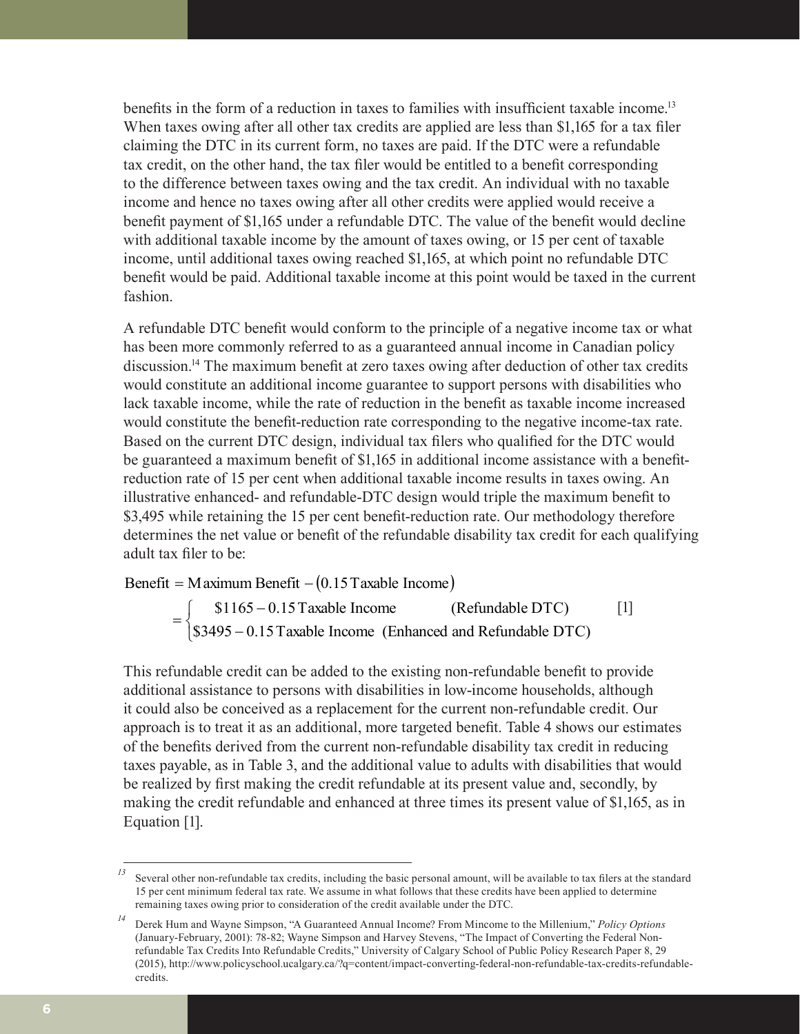benefits in the form of a reduction in taxes to families with insufficient taxable income.<sup>13</sup> When taxes owing after all other tax credits are applied are less than \$1,165 for a tax filer claiming the DTC in its current form, no taxes are paid. If the DTC were a refundable tax credit, on the other hand, the tax filer would be entitled to a benefit corresponding to the difference between taxes owing and the tax credit. An individual with no taxable income and hence no taxes owing after all other credits were applied would receive a benefit payment of \$1,165 under a refundable DTC. The value of the benefit would decline with additional taxable income by the amount of taxes owing, or 15 per cent of taxable income, until additional taxes owing reached \$1,165, at which point no refundable DTC benefit would be paid. Additional taxable income at this point would be taxed in the current fashion.

A refundable DTC benefit would conform to the principle of a negative income tax or what has been more commonly referred to as a guaranteed annual income in Canadian policy discussion.14 The maximum benefit at zero taxes owing after deduction of other tax credits would constitute an additional income guarantee to support persons with disabilities who lack taxable income, while the rate of reduction in the benefit as taxable income increased would constitute the benefit-reduction rate corresponding to the negative income-tax rate. Based on the current DTC design, individual tax filers who qualified for the DTC would be guaranteed a maximum benefit of \$1,165 in additional income assistance with a benefitreduction rate of 15 per cent when additional taxable income results in taxes owing. An illustrative enhanced- and refundable-DTC design would triple the maximum benefit to \$3,495 while retaining the 15 per cent benefit-reduction rate. Our methodology therefore determines the net value or benefit of the refundable disability tax credit for each qualifying adult tax filer to be:

Benefit = Maximum Benefit  $-(0.15$ Taxable Income)

 $\overline{\mathcal{L}}$ ┤  $\int$ - $=\begin{cases} $1165 - $6 \end{cases}$ \$3495 – 0.15 Taxable Income (Enhanced and Refundable DTC) \$1165 0.15Taxable Income (Refundable DTC)  $\lceil 1 \rceil$ 

This refundable credit can be added to the existing non-refundable benefit to provide additional assistance to persons with disabilities in low-income households, although it could also be conceived as a replacement for the current non-refundable credit. Our approach is to treat it as an additional, more targeted benefit. Table 4 shows our estimates of the benefits derived from the current non-refundable disability tax credit in reducing taxes payable, as in Table 3, and the additional value to adults with disabilities that would be realized by first making the credit refundable at its present value and, secondly, by making the credit refundable and enhanced at three times its present value of \$1,165, as in Equation [1].

<sup>&</sup>lt;sup>13</sup> Several other non-refundable tax credits, including the basic personal amount, will be available to tax filers at the standard 15 per cent minimum federal tax rate. We assume in what follows that these credits have been applied to determine remaining taxes owing prior to consideration of the credit available under the DTC.

*<sup>14</sup>* Derek Hum and Wayne Simpson, "A Guaranteed Annual Income? From Mincome to the Millenium," *Policy Options* (January-February, 2001): 78-82; Wayne Simpson and Harvey Stevens, "The Impact of Converting the Federal Nonrefundable Tax Credits Into Refundable Credits," University of Calgary School of Public Policy Research Paper 8, 29 (2015), http://www.policyschool.ucalgary.ca/?q=content/impact-converting-federal-non-refundable-tax-credits-refundablecredits.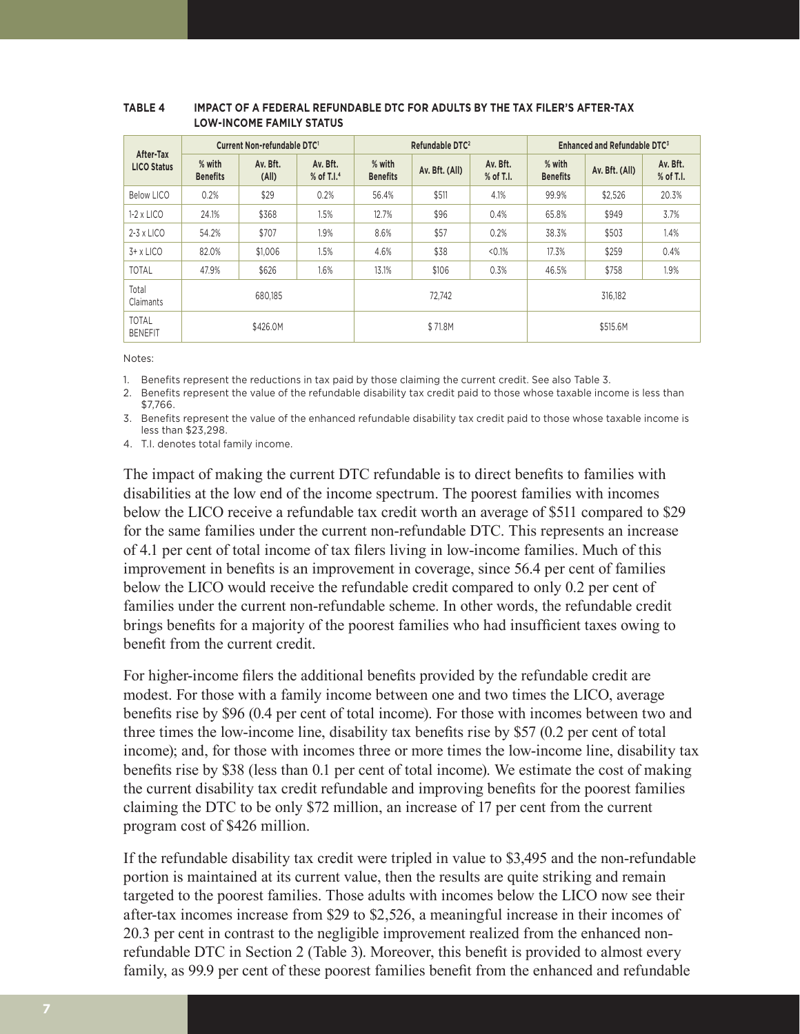| After-Tax<br><b>LICO Status</b> | Current Non-refundable DTC1 |                   |                                      | Refundable DTC <sup>2</sup> |                |                         | Enhanced and Refundable DTC3 |                |                         |
|---------------------------------|-----------------------------|-------------------|--------------------------------------|-----------------------------|----------------|-------------------------|------------------------------|----------------|-------------------------|
|                                 | % with<br><b>Benefits</b>   | Av. Bft.<br>(A  ) | Av. Bft.<br>$%$ of T.I. <sup>4</sup> | % with<br><b>Benefits</b>   | Av. Bft. (All) | Av. Bft.<br>$%$ of T.I. | % with<br><b>Benefits</b>    | Av. Bft. (All) | Av. Bft.<br>$%$ of T.I. |
| Below LICO                      | 0.2%                        | \$29              | 0.2%                                 | 56.4%                       | \$511          | 4.1%                    | 99.9%                        | \$2.526        | 20.3%                   |
| $1-2 \times LICO$               | 24.1%                       | \$368             | 1.5%                                 | 12.7%                       | \$96           | 0.4%                    | 65.8%                        | \$949          | 3.7%                    |
| $2-3 \times LICO$               | 54.2%                       | \$707             | 1.9%                                 | 8.6%                        | \$57           | 0.2%                    | 38.3%                        | \$503          | 1.4%                    |
| 3+ x LICO                       | 82.0%                       | \$1,006           | 1.5%                                 | 4.6%                        | \$38           | < 0.1%                  | 17.3%                        | \$259          | 0.4%                    |
| <b>TOTAL</b>                    | 47.9%                       | \$626             | 1.6%                                 | 13.1%                       | \$106          | 0.3%                    | 46.5%                        | \$758          | 1.9%                    |
| Total<br>Claimants              | 680.185                     |                   | 72.742                               |                             |                | 316.182                 |                              |                |                         |
| <b>TOTAL</b><br><b>BENEFIT</b>  |                             | \$426.0M          |                                      | \$71.8M                     |                |                         | \$515.6M                     |                |                         |

#### **TABLE 4 IMPACT OF A FEDERAL REFUNDABLE DTC FOR ADULTS BY THE TAX FILER'S AFTER-TAX LOW-INCOME FAMILY STATUS**

Notes:

1. Benefits represent the reductions in tax paid by those claiming the current credit. See also Table 3.

2. Benefits represent the value of the refundable disability tax credit paid to those whose taxable income is less than \$7,766.

3. Benefits represent the value of the enhanced refundable disability tax credit paid to those whose taxable income is less than \$23,298.

4. T.I. denotes total family income.

The impact of making the current DTC refundable is to direct benefits to families with disabilities at the low end of the income spectrum. The poorest families with incomes below the LICO receive a refundable tax credit worth an average of \$511 compared to \$29 for the same families under the current non-refundable DTC. This represents an increase of 4.1 per cent of total income of tax filers living in low-income families. Much of this improvement in benefits is an improvement in coverage, since 56.4 per cent of families below the LICO would receive the refundable credit compared to only 0.2 per cent of families under the current non-refundable scheme. In other words, the refundable credit brings benefits for a majority of the poorest families who had insufficient taxes owing to benefit from the current credit.

For higher-income filers the additional benefits provided by the refundable credit are modest. For those with a family income between one and two times the LICO, average benefits rise by \$96 (0.4 per cent of total income). For those with incomes between two and three times the low-income line, disability tax benefits rise by \$57 (0.2 per cent of total income); and, for those with incomes three or more times the low-income line, disability tax benefits rise by \$38 (less than 0.1 per cent of total income). We estimate the cost of making the current disability tax credit refundable and improving benefits for the poorest families claiming the DTC to be only \$72 million, an increase of 17 per cent from the current program cost of \$426 million.

If the refundable disability tax credit were tripled in value to \$3,495 and the non-refundable portion is maintained at its current value, then the results are quite striking and remain targeted to the poorest families. Those adults with incomes below the LICO now see their after-tax incomes increase from \$29 to \$2,526, a meaningful increase in their incomes of 20.3 per cent in contrast to the negligible improvement realized from the enhanced nonrefundable DTC in Section 2 (Table 3). Moreover, this benefit is provided to almost every family, as 99.9 per cent of these poorest families benefit from the enhanced and refundable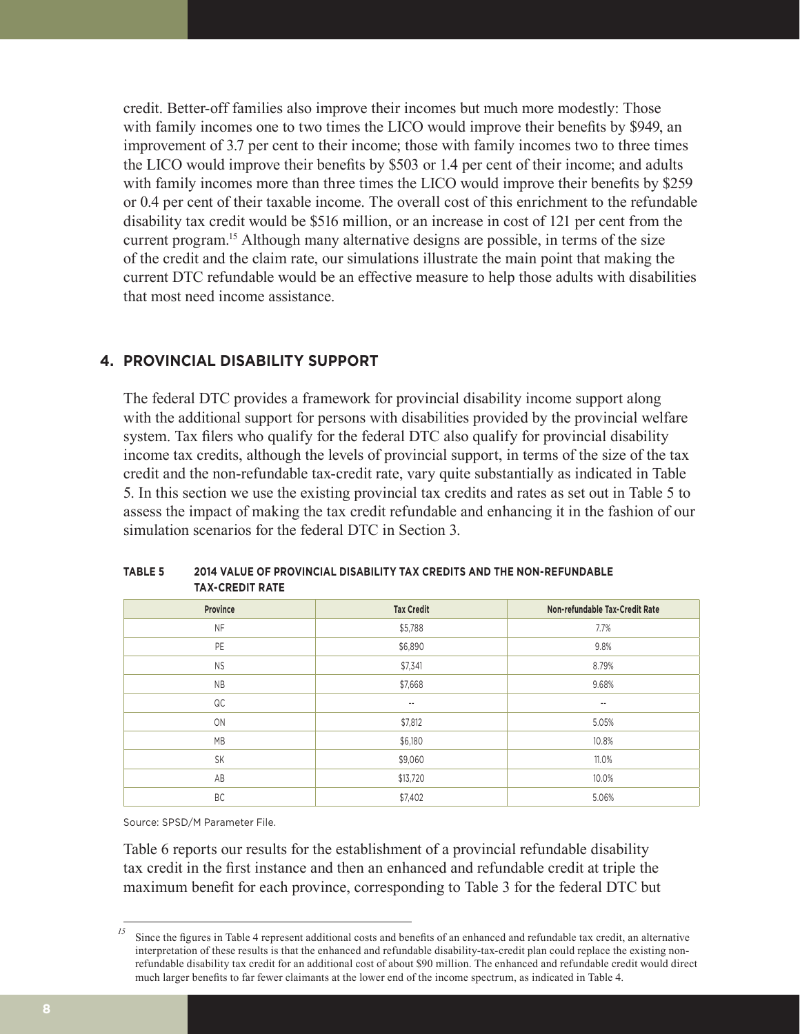credit. Better-off families also improve their incomes but much more modestly: Those with family incomes one to two times the LICO would improve their benefits by \$949, an improvement of 3.7 per cent to their income; those with family incomes two to three times the LICO would improve their benefits by \$503 or 1.4 per cent of their income; and adults with family incomes more than three times the LICO would improve their benefits by \$259 or 0.4 per cent of their taxable income. The overall cost of this enrichment to the refundable disability tax credit would be \$516 million, or an increase in cost of 121 per cent from the current program.15 Although many alternative designs are possible, in terms of the size of the credit and the claim rate, our simulations illustrate the main point that making the current DTC refundable would be an effective measure to help those adults with disabilities that most need income assistance.

# **4. PROVINCIAL DISABILITY SUPPORT**

The federal DTC provides a framework for provincial disability income support along with the additional support for persons with disabilities provided by the provincial welfare system. Tax filers who qualify for the federal DTC also qualify for provincial disability income tax credits, although the levels of provincial support, in terms of the size of the tax credit and the non-refundable tax-credit rate, vary quite substantially as indicated in Table 5. In this section we use the existing provincial tax credits and rates as set out in Table 5 to assess the impact of making the tax credit refundable and enhancing it in the fashion of our simulation scenarios for the federal DTC in Section 3.

| Province  | <b>Tax Credit</b>        | Non-refundable Tax-Credit Rate |
|-----------|--------------------------|--------------------------------|
| <b>NF</b> | \$5,788                  | 7.7%                           |
| PE        | \$6,890                  | 9.8%                           |
| <b>NS</b> | \$7,341                  | 8.79%                          |
| <b>NB</b> | \$7,668                  | 9.68%                          |
| QC        | $\overline{\phantom{a}}$ | $\overline{\phantom{a}}$       |
| ON        | \$7,812                  | 5.05%                          |
| MB        | \$6,180                  | 10.8%                          |
| <b>SK</b> | \$9,060                  | 11.0%                          |
| AB        | \$13,720                 | 10.0%                          |
| BC        | \$7,402                  | 5.06%                          |

**TABLE 5 2014 VALUE OF PROVINCIAL DISABILITY TAX CREDITS AND THE NON-REFUNDABLE TAX-CREDIT RATE**

Source: SPSD/M Parameter File.

Table 6 reports our results for the establishment of a provincial refundable disability tax credit in the first instance and then an enhanced and refundable credit at triple the maximum benefit for each province, corresponding to Table 3 for the federal DTC but

Since the figures in Table 4 represent additional costs and benefits of an enhanced and refundable tax credit, an alternative interpretation of these results is that the enhanced and refundable disability-tax-credit plan could replace the existing nonrefundable disability tax credit for an additional cost of about \$90 million. The enhanced and refundable credit would direct much larger benefits to far fewer claimants at the lower end of the income spectrum, as indicated in Table 4.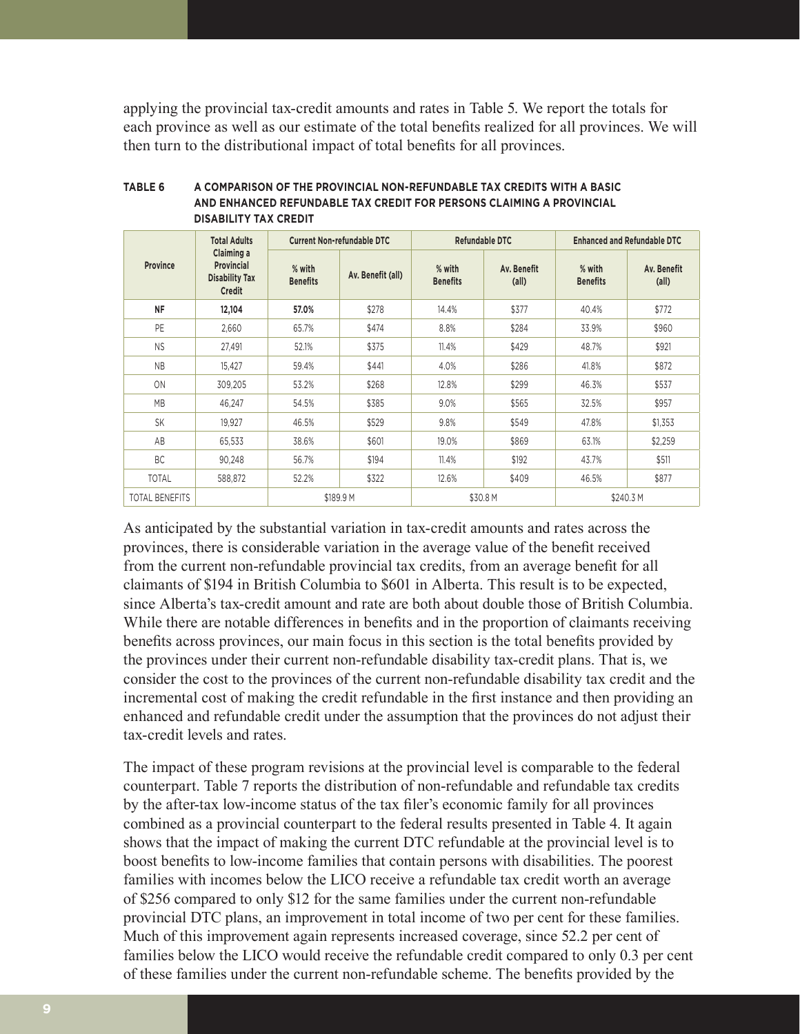applying the provincial tax-credit amounts and rates in Table 5. We report the totals for each province as well as our estimate of the total benefits realized for all provinces. We will then turn to the distributional impact of total benefits for all provinces.

|                       | <b>Total Adults</b>                                                |                           | <b>Current Non-refundable DTC</b> |                           | <b>Refundable DTC</b>         | <b>Enhanced and Refundable DTC</b> |                               |  |
|-----------------------|--------------------------------------------------------------------|---------------------------|-----------------------------------|---------------------------|-------------------------------|------------------------------------|-------------------------------|--|
| <b>Province</b>       | Claiming a<br>Provincial<br><b>Disability Tax</b><br><b>Credit</b> | % with<br><b>Benefits</b> | Av. Benefit (all)                 | % with<br><b>Benefits</b> | Av. Benefit<br>$\text{(all)}$ | % with<br><b>Benefits</b>          | Av. Benefit<br>$\text{(all)}$ |  |
| <b>NF</b>             | 12,104                                                             | 57.0%                     | \$278                             | 14.4%                     | \$377                         | 40.4%                              | \$772                         |  |
| PE                    | 2.660                                                              | 65.7%                     | \$474                             | 8.8%                      | \$284                         | 33.9%                              | \$960                         |  |
| <b>NS</b>             | 27.491                                                             | 52.1%                     | \$375                             | 11.4%                     | \$429                         | 48.7%                              | \$921                         |  |
| <b>NB</b>             | 15,427                                                             | 59.4%                     | \$441                             | 4.0%                      | \$286                         | 41.8%                              | \$872                         |  |
| 0 <sub>N</sub>        | 309.205                                                            | 53.2%                     | \$268                             | 12.8%                     | \$299                         | 46.3%                              | \$537                         |  |
| <b>MB</b>             | 46.247                                                             | 54.5%                     | \$385                             | 9.0%                      | \$565                         | 32.5%                              | \$957                         |  |
| <b>SK</b>             | 19.927                                                             | 46.5%                     | \$529                             | 9.8%                      | \$549                         | 47.8%                              | \$1,353                       |  |
| AB                    | 65,533                                                             | 38.6%                     | \$601                             | 19.0%                     | \$869                         | 63.1%                              | \$2,259                       |  |
| BC                    | 90,248                                                             | 56.7%                     | \$194                             | 11.4%                     | \$192                         | 43.7%                              | \$511                         |  |
| <b>TOTAL</b>          | 588.872                                                            | 52.2%                     | \$322                             | 12.6%                     | \$409                         | 46.5%                              | \$877                         |  |
| <b>TOTAL BENEFITS</b> |                                                                    |                           | \$189.9 M                         | \$30.8 M                  |                               | \$240.3 M                          |                               |  |

**TABLE 6 A COMPARISON OF THE PROVINCIAL NON-REFUNDABLE TAX CREDITS WITH A BASIC AND ENHANCED REFUNDABLE TAX CREDIT FOR PERSONS CLAIMING A PROVINCIAL DISABILITY TAX CREDIT**

As anticipated by the substantial variation in tax-credit amounts and rates across the provinces, there is considerable variation in the average value of the benefit received from the current non-refundable provincial tax credits, from an average benefit for all claimants of \$194 in British Columbia to \$601 in Alberta. This result is to be expected, since Alberta's tax-credit amount and rate are both about double those of British Columbia. While there are notable differences in benefits and in the proportion of claimants receiving benefits across provinces, our main focus in this section is the total benefits provided by the provinces under their current non-refundable disability tax-credit plans. That is, we consider the cost to the provinces of the current non-refundable disability tax credit and the incremental cost of making the credit refundable in the first instance and then providing an enhanced and refundable credit under the assumption that the provinces do not adjust their tax-credit levels and rates.

The impact of these program revisions at the provincial level is comparable to the federal counterpart. Table 7 reports the distribution of non-refundable and refundable tax credits by the after-tax low-income status of the tax filer's economic family for all provinces combined as a provincial counterpart to the federal results presented in Table 4. It again shows that the impact of making the current DTC refundable at the provincial level is to boost benefits to low-income families that contain persons with disabilities. The poorest families with incomes below the LICO receive a refundable tax credit worth an average of \$256 compared to only \$12 for the same families under the current non-refundable provincial DTC plans, an improvement in total income of two per cent for these families. Much of this improvement again represents increased coverage, since 52.2 per cent of families below the LICO would receive the refundable credit compared to only 0.3 per cent of these families under the current non-refundable scheme. The benefits provided by the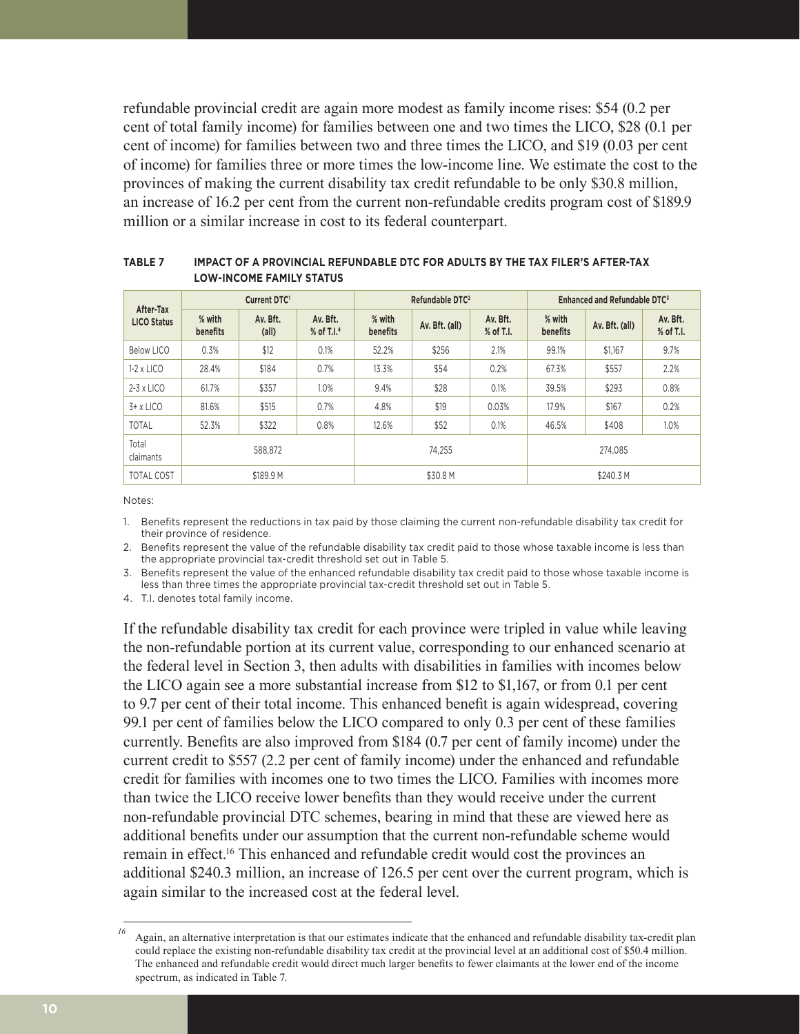refundable provincial credit are again more modest as family income rises: \$54 (0.2 per cent of total family income) for families between one and two times the LICO, \$28 (0.1 per cent of income) for families between two and three times the LICO, and \$19 (0.03 per cent of income) for families three or more times the low-income line. We estimate the cost to the provinces of making the current disability tax credit refundable to be only \$30.8 million, an increase of 16.2 per cent from the current non-refundable credits program cost of \$189.9 million or a similar increase in cost to its federal counterpart.

|                                 | Current DTC <sup>1</sup> |                            |                                      | Refundable DTC <sup>2</sup> |                |                         | Enhanced and Refundable DTC <sup>3</sup> |                |                         |
|---------------------------------|--------------------------|----------------------------|--------------------------------------|-----------------------------|----------------|-------------------------|------------------------------------------|----------------|-------------------------|
| After-Tax<br><b>LICO Status</b> | % with<br>benefits       | Av. Bft.<br>$\text{(all)}$ | Av. Bft.<br>$%$ of T.I. <sup>4</sup> | % with<br>benefits          | Av. Bft. (all) | Av. Bft.<br>$%$ of T.I. | % with<br>benefits                       | Av. Bft. (all) | Av. Bft.<br>$%$ of T.I. |
| Below LICO                      | 0.3%                     | \$12                       | 0.1%                                 | 52.2%                       | \$256          | 2.1%                    | 99.1%                                    | \$1,167        | 9.7%                    |
| $1-2 \times LICO$               | 28.4%                    | \$184                      | 0.7%                                 | 13.3%                       | \$54           | 0.2%                    | 67.3%                                    | \$557          | 2.2%                    |
| $2-3 \times LICO$               | 61.7%                    | \$357                      | 1.0%                                 | 9.4%                        | \$28           | 0.1%                    | 39.5%                                    | \$293          | 0.8%                    |
| $3+ x$ LICO                     | 81.6%                    | \$515                      | 0.7%                                 | 4.8%                        | \$19           | 0.03%                   | 17.9%                                    | \$167          | 0.2%                    |
| <b>TOTAL</b>                    | 52.3%                    | \$322                      | 0.8%                                 | 12.6%                       | \$52           | 0.1%                    | 46.5%                                    | \$408          | 1.0%                    |
| Total<br>claimants              | 588.872                  |                            | 74.255                               |                             |                |                         | 274.085                                  |                |                         |
| <b>TOTAL COST</b>               |                          | \$189.9 M                  |                                      |                             | \$30.8 M       |                         |                                          | \$240.3 M      |                         |

**TABLE 7 IMPACT OF A PROVINCIAL REFUNDABLE DTC FOR ADULTS BY THE TAX FILER'S AFTER-TAX LOW-INCOME FAMILY STATUS**

Notes:

1. Benefits represent the reductions in tax paid by those claiming the current non-refundable disability tax credit for their province of residence.

2. Benefits represent the value of the refundable disability tax credit paid to those whose taxable income is less than the appropriate provincial tax-credit threshold set out in Table 5.

3. Benefits represent the value of the enhanced refundable disability tax credit paid to those whose taxable income is less than three times the appropriate provincial tax-credit threshold set out in Table 5.

4. T.I. denotes total family income.

If the refundable disability tax credit for each province were tripled in value while leaving the non-refundable portion at its current value, corresponding to our enhanced scenario at the federal level in Section 3, then adults with disabilities in families with incomes below the LICO again see a more substantial increase from \$12 to \$1,167, or from 0.1 per cent to 9.7 per cent of their total income. This enhanced benefit is again widespread, covering 99.1 per cent of families below the LICO compared to only 0.3 per cent of these families currently. Benefits are also improved from \$184 (0.7 per cent of family income) under the current credit to \$557 (2.2 per cent of family income) under the enhanced and refundable credit for families with incomes one to two times the LICO. Families with incomes more than twice the LICO receive lower benefits than they would receive under the current non-refundable provincial DTC schemes, bearing in mind that these are viewed here as additional benefits under our assumption that the current non-refundable scheme would remain in effect.<sup>16</sup> This enhanced and refundable credit would cost the provinces an additional \$240.3 million, an increase of 126.5 per cent over the current program, which is again similar to the increased cost at the federal level.

*<sup>16</sup>* Again, an alternative interpretation is that our estimates indicate that the enhanced and refundable disability tax-credit plan could replace the existing non-refundable disability tax credit at the provincial level at an additional cost of \$50.4 million. The enhanced and refundable credit would direct much larger benefits to fewer claimants at the lower end of the income spectrum, as indicated in Table 7.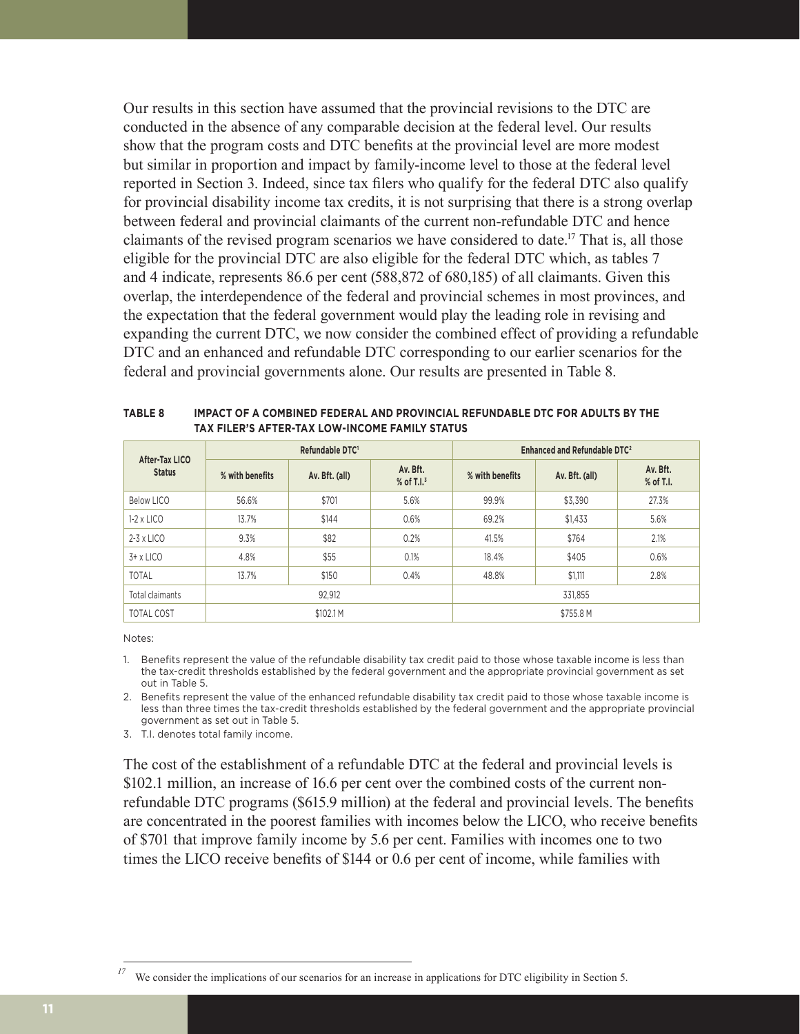Our results in this section have assumed that the provincial revisions to the DTC are conducted in the absence of any comparable decision at the federal level. Our results show that the program costs and DTC benefits at the provincial level are more modest but similar in proportion and impact by family-income level to those at the federal level reported in Section 3. Indeed, since tax filers who qualify for the federal DTC also qualify for provincial disability income tax credits, it is not surprising that there is a strong overlap between federal and provincial claimants of the current non-refundable DTC and hence claimants of the revised program scenarios we have considered to date.<sup>17</sup> That is, all those eligible for the provincial DTC are also eligible for the federal DTC which, as tables 7 and 4 indicate, represents 86.6 per cent (588,872 of 680,185) of all claimants. Given this overlap, the interdependence of the federal and provincial schemes in most provinces, and the expectation that the federal government would play the leading role in revising and expanding the current DTC, we now consider the combined effect of providing a refundable DTC and an enhanced and refundable DTC corresponding to our earlier scenarios for the federal and provincial governments alone. Our results are presented in Table 8.

| After-Tax LICO<br><b>Status</b> |                 | Refundable DTC <sup>1</sup> |                             | Enhanced and Refundable DTC <sup>2</sup> |                |                         |  |
|---------------------------------|-----------------|-----------------------------|-----------------------------|------------------------------------------|----------------|-------------------------|--|
|                                 | % with benefits | Av. Bft. (all)              | Av. Bft.<br>$%$ of T.I. $3$ | % with benefits                          | Av. Bft. (all) | Av. Bft.<br>$%$ of T.I. |  |
| Below LICO                      | 56.6%           | \$701                       | 5.6%                        | 99.9%                                    | \$3.390        | 27.3%                   |  |
| $1-2 \times LICO$               | 13.7%           | \$144                       | 0.6%                        | 69.2%                                    | \$1,433        | 5.6%                    |  |
| $2-3 \times$ LICO               | 9.3%            | \$82                        | 0.2%                        | 41.5%                                    | \$764          | 2.1%                    |  |
| $3+x$ LICO                      | 4.8%            | \$55                        | 0.1%                        | 18.4%                                    | \$405          | 0.6%                    |  |
| <b>TOTAL</b>                    | 13.7%           | \$150                       | 0.4%                        | 48.8%                                    | \$1,111        | 2.8%                    |  |
| Total claimants                 | 92.912          |                             |                             | 331.855                                  |                |                         |  |
| <b>TOTAL COST</b>               |                 | \$102.1 M                   |                             |                                          | \$755.8 M      |                         |  |

**TABLE 8 IMPACT OF A COMBINED FEDERAL AND PROVINCIAL REFUNDABLE DTC FOR ADULTS BY THE TAX FILER'S AFTER-TAX LOW-INCOME FAMILY STATUS**

Notes:

1. Benefits represent the value of the refundable disability tax credit paid to those whose taxable income is less than the tax-credit thresholds established by the federal government and the appropriate provincial government as set out in Table 5.

2. Benefits represent the value of the enhanced refundable disability tax credit paid to those whose taxable income is less than three times the tax-credit thresholds established by the federal government and the appropriate provincial government as set out in Table 5.

3. T.I. denotes total family income.

The cost of the establishment of a refundable DTC at the federal and provincial levels is \$102.1 million, an increase of 16.6 per cent over the combined costs of the current nonrefundable DTC programs (\$615.9 million) at the federal and provincial levels. The benefits are concentrated in the poorest families with incomes below the LICO, who receive benefits of \$701 that improve family income by 5.6 per cent. Families with incomes one to two times the LICO receive benefits of \$144 or 0.6 per cent of income, while families with

We consider the implications of our scenarios for an increase in applications for DTC eligibility in Section 5.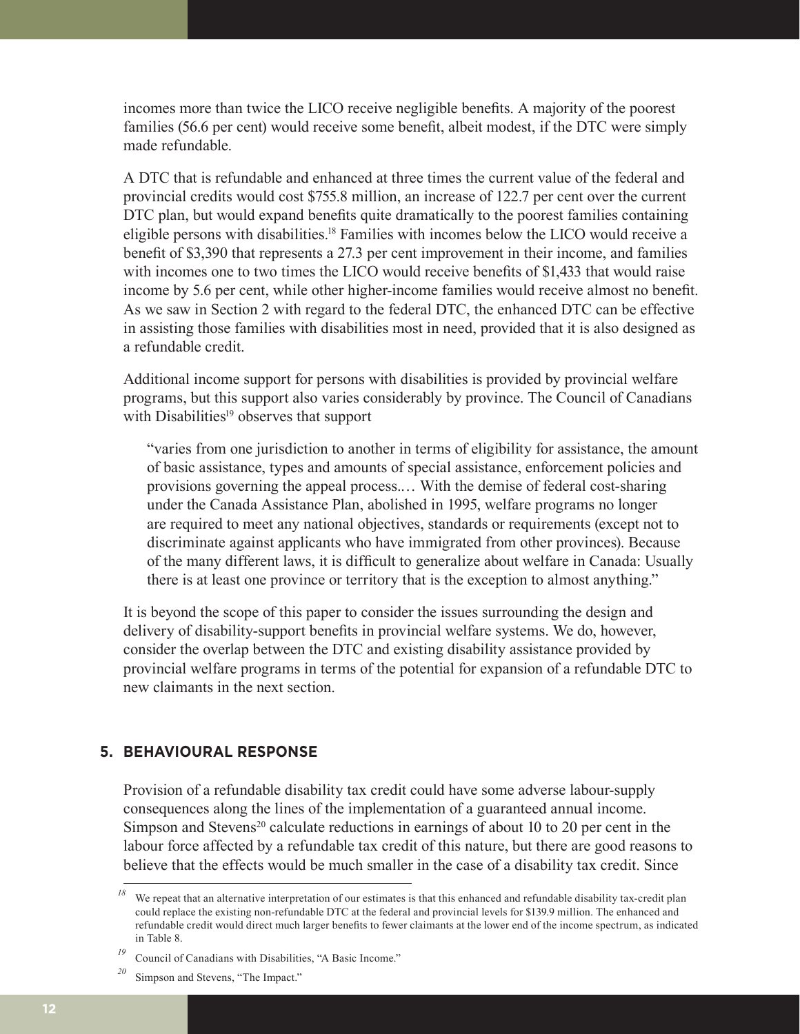incomes more than twice the LICO receive negligible benefits. A majority of the poorest families (56.6 per cent) would receive some benefit, albeit modest, if the DTC were simply made refundable.

A DTC that is refundable and enhanced at three times the current value of the federal and provincial credits would cost \$755.8 million, an increase of 122.7 per cent over the current DTC plan, but would expand benefits quite dramatically to the poorest families containing eligible persons with disabilities.18 Families with incomes below the LICO would receive a benefit of \$3,390 that represents a 27.3 per cent improvement in their income, and families with incomes one to two times the LICO would receive benefits of \$1,433 that would raise income by 5.6 per cent, while other higher-income families would receive almost no benefit. As we saw in Section 2 with regard to the federal DTC, the enhanced DTC can be effective in assisting those families with disabilities most in need, provided that it is also designed as a refundable credit.

Additional income support for persons with disabilities is provided by provincial welfare programs, but this support also varies considerably by province. The Council of Canadians with Disabilities<sup>19</sup> observes that support

"varies from one jurisdiction to another in terms of eligibility for assistance, the amount of basic assistance, types and amounts of special assistance, enforcement policies and provisions governing the appeal process.… With the demise of federal cost-sharing under the Canada Assistance Plan, abolished in 1995, welfare programs no longer are required to meet any national objectives, standards or requirements (except not to discriminate against applicants who have immigrated from other provinces). Because of the many different laws, it is difficult to generalize about welfare in Canada: Usually there is at least one province or territory that is the exception to almost anything."

It is beyond the scope of this paper to consider the issues surrounding the design and delivery of disability-support benefits in provincial welfare systems. We do, however, consider the overlap between the DTC and existing disability assistance provided by provincial welfare programs in terms of the potential for expansion of a refundable DTC to new claimants in the next section.

# **5. BEHAVIOURAL RESPONSE**

Provision of a refundable disability tax credit could have some adverse labour-supply consequences along the lines of the implementation of a guaranteed annual income. Simpson and Stevens<sup>20</sup> calculate reductions in earnings of about 10 to 20 per cent in the labour force affected by a refundable tax credit of this nature, but there are good reasons to believe that the effects would be much smaller in the case of a disability tax credit. Since

<sup>&</sup>lt;sup>18</sup> We repeat that an alternative interpretation of our estimates is that this enhanced and refundable disability tax-credit plan could replace the existing non-refundable DTC at the federal and provincial levels for \$139.9 million. The enhanced and refundable credit would direct much larger benefits to fewer claimants at the lower end of the income spectrum, as indicated in Table 8.

<sup>&</sup>lt;sup>19</sup> Council of Canadians with Disabilities, "A Basic Income."

*<sup>20</sup>* Simpson and Stevens, "The Impact."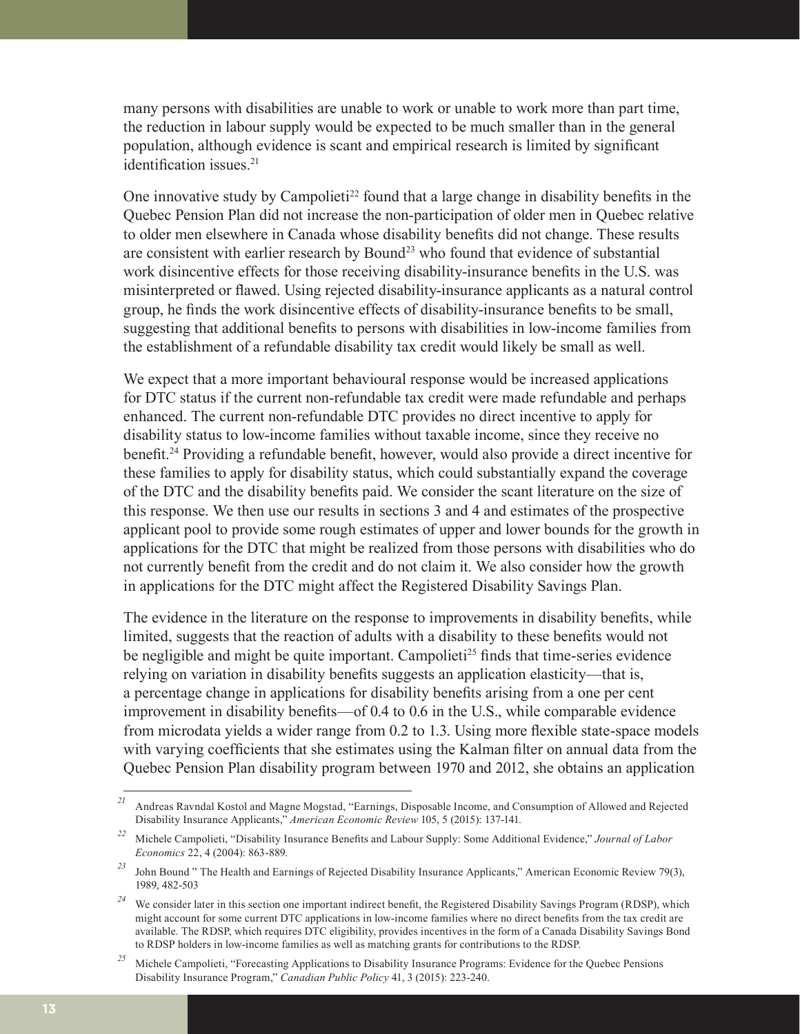many persons with disabilities are unable to work or unable to work more than part time, the reduction in labour supply would be expected to be much smaller than in the general population, although evidence is scant and empirical research is limited by significant identification issues $21$ 

One innovative study by Campolieti<sup>22</sup> found that a large change in disability benefits in the Quebec Pension Plan did not increase the non-participation of older men in Quebec relative to older men elsewhere in Canada whose disability benefits did not change. These results are consistent with earlier research by Bound<sup>23</sup> who found that evidence of substantial work disincentive effects for those receiving disability-insurance benefits in the U.S. was misinterpreted or flawed. Using rejected disability-insurance applicants as a natural control group, he finds the work disincentive effects of disability-insurance benefits to be small, suggesting that additional benefits to persons with disabilities in low-income families from the establishment of a refundable disability tax credit would likely be small as well.

We expect that a more important behavioural response would be increased applications for DTC status if the current non-refundable tax credit were made refundable and perhaps enhanced. The current non-refundable DTC provides no direct incentive to apply for disability status to low-income families without taxable income, since they receive no benefit.<sup>24</sup> Providing a refundable benefit, however, would also provide a direct incentive for these families to apply for disability status, which could substantially expand the coverage of the DTC and the disability benefits paid. We consider the scant literature on the size of this response. We then use our results in sections 3 and 4 and estimates of the prospective applicant pool to provide some rough estimates of upper and lower bounds for the growth in applications for the DTC that might be realized from those persons with disabilities who do not currently benefit from the credit and do not claim it. We also consider how the growth in applications for the DTC might affect the Registered Disability Savings Plan.

The evidence in the literature on the response to improvements in disability benefits, while limited, suggests that the reaction of adults with a disability to these benefits would not be negligible and might be quite important. Campolieti<sup>25</sup> finds that time-series evidence relying on variation in disability benefits suggests an application elasticity—that is, a percentage change in applications for disability benefits arising from a one per cent improvement in disability benefits—of 0.4 to 0.6 in the U.S., while comparable evidence from microdata yields a wider range from 0.2 to 1.3. Using more flexible state-space models with varying coefficients that she estimates using the Kalman filter on annual data from the Quebec Pension Plan disability program between 1970 and 2012, she obtains an application

*<sup>21</sup>* Andreas Ravndal Kostol and Magne Mogstad, "Earnings, Disposable Income, and Consumption of Allowed and Rejected Disability Insurance Applicants," *American Economic Review* 105, 5 (2015): 137-141.

*<sup>22</sup>* Michele Campolieti, "Disability Insurance Benefits and Labour Supply: Some Additional Evidence," *Journal of Labor Economics* 22, 4 (2004): 863-889.

*<sup>23</sup>* John Bound " The Health and Earnings of Rejected Disability Insurance Applicants," American Economic Review 79(3), 1989, 482-503

<sup>&</sup>lt;sup>24</sup> We consider later in this section one important indirect benefit, the Registered Disability Savings Program (RDSP), which might account for some current DTC applications in low-income families where no direct benefits from the tax credit are available. The RDSP, which requires DTC eligibility, provides incentives in the form of a Canada Disability Savings Bond to RDSP holders in low-income families as well as matching grants for contributions to the RDSP.

<sup>&</sup>lt;sup>25</sup> Michele Campolieti, "Forecasting Applications to Disability Insurance Programs: Evidence for the Quebec Pensions Disability Insurance Program," *Canadian Public Policy* 41, 3 (2015): 223-240.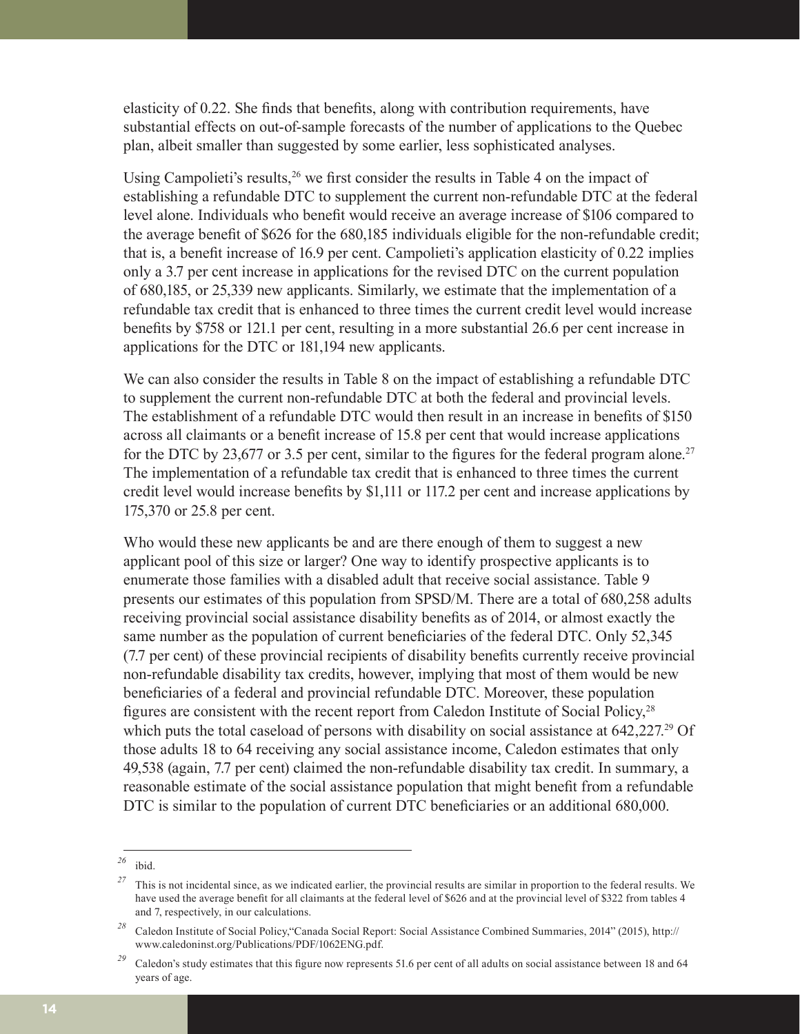elasticity of 0.22. She finds that benefits, along with contribution requirements, have substantial effects on out-of-sample forecasts of the number of applications to the Quebec plan, albeit smaller than suggested by some earlier, less sophisticated analyses.

Using Campolieti's results,<sup>26</sup> we first consider the results in Table 4 on the impact of establishing a refundable DTC to supplement the current non-refundable DTC at the federal level alone. Individuals who benefit would receive an average increase of \$106 compared to the average benefit of \$626 for the 680,185 individuals eligible for the non-refundable credit; that is, a benefit increase of 16.9 per cent. Campolieti's application elasticity of 0.22 implies only a 3.7 per cent increase in applications for the revised DTC on the current population of 680,185, or 25,339 new applicants. Similarly, we estimate that the implementation of a refundable tax credit that is enhanced to three times the current credit level would increase benefits by \$758 or 121.1 per cent, resulting in a more substantial 26.6 per cent increase in applications for the DTC or 181,194 new applicants.

We can also consider the results in Table 8 on the impact of establishing a refundable DTC to supplement the current non-refundable DTC at both the federal and provincial levels. The establishment of a refundable DTC would then result in an increase in benefits of \$150 across all claimants or a benefit increase of 15.8 per cent that would increase applications for the DTC by 23,677 or 3.5 per cent, similar to the figures for the federal program alone.<sup>27</sup> The implementation of a refundable tax credit that is enhanced to three times the current credit level would increase benefits by \$1,111 or 117.2 per cent and increase applications by 175,370 or 25.8 per cent.

Who would these new applicants be and are there enough of them to suggest a new applicant pool of this size or larger? One way to identify prospective applicants is to enumerate those families with a disabled adult that receive social assistance. Table 9 presents our estimates of this population from SPSD/M. There are a total of 680,258 adults receiving provincial social assistance disability benefits as of 2014, or almost exactly the same number as the population of current beneficiaries of the federal DTC. Only 52,345 (7.7 per cent) of these provincial recipients of disability benefits currently receive provincial non-refundable disability tax credits, however, implying that most of them would be new beneficiaries of a federal and provincial refundable DTC. Moreover, these population figures are consistent with the recent report from Caledon Institute of Social Policy,28 which puts the total caseload of persons with disability on social assistance at 642,227.<sup>29</sup> Of those adults 18 to 64 receiving any social assistance income, Caledon estimates that only 49,538 (again, 7.7 per cent) claimed the non-refundable disability tax credit. In summary, a reasonable estimate of the social assistance population that might benefit from a refundable DTC is similar to the population of current DTC beneficiaries or an additional 680,000.

*<sup>26</sup>* ibid.

<sup>&</sup>lt;sup>27</sup> This is not incidental since, as we indicated earlier, the provincial results are similar in proportion to the federal results. We have used the average benefit for all claimants at the federal level of \$626 and at the provincial level of \$322 from tables 4 and 7, respectively, in our calculations.

*<sup>28</sup>* Caledon Institute of Social Policy,"Canada Social Report: Social Assistance Combined Summaries, 2014" (2015), http:// www.caledoninst.org/Publications/PDF/1062ENG.pdf.

<sup>&</sup>lt;sup>29</sup> Caledon's study estimates that this figure now represents 51.6 per cent of all adults on social assistance between 18 and 64 years of age.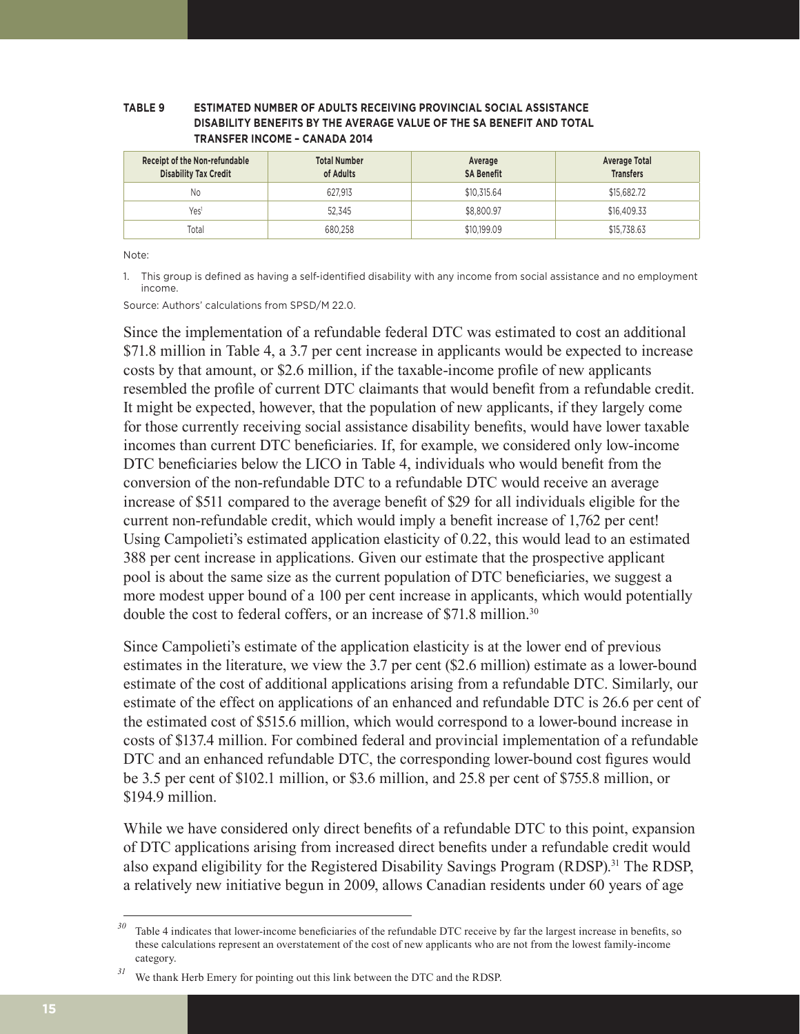# **TABLE 9 ESTIMATED NUMBER OF ADULTS RECEIVING PROVINCIAL SOCIAL ASSISTANCE DISABILITY BENEFITS BY THE AVERAGE VALUE OF THE SA BENEFIT AND TOTAL TRANSFER INCOME – CANADA 2014**

| Receipt of the Non-refundable<br><b>Disability Tax Credit</b> | <b>Total Number</b><br>of Adults | Average<br><b>SA Benefit</b> | Average Total<br><b>Transfers</b> |
|---------------------------------------------------------------|----------------------------------|------------------------------|-----------------------------------|
| Νo                                                            | 627.913                          | \$10,315,64                  | \$15,682.72                       |
| Yes <sup>1</sup>                                              | 52.345                           | \$8,800.97                   | \$16,409.33                       |
| Total                                                         | 680.258                          | \$10,199,09                  | \$15,738,63                       |

Note:

1. This group is defined as having a self-identified disability with any income from social assistance and no employment income.

Source: Authors' calculations from SPSD/M 22.0.

Since the implementation of a refundable federal DTC was estimated to cost an additional \$71.8 million in Table 4, a 3.7 per cent increase in applicants would be expected to increase costs by that amount, or \$2.6 million, if the taxable-income profile of new applicants resembled the profile of current DTC claimants that would benefit from a refundable credit. It might be expected, however, that the population of new applicants, if they largely come for those currently receiving social assistance disability benefits, would have lower taxable incomes than current DTC beneficiaries. If, for example, we considered only low-income DTC beneficiaries below the LICO in Table 4, individuals who would benefit from the conversion of the non-refundable DTC to a refundable DTC would receive an average increase of \$511 compared to the average benefit of \$29 for all individuals eligible for the current non-refundable credit, which would imply a benefit increase of 1,762 per cent! Using Campolieti's estimated application elasticity of 0.22, this would lead to an estimated 388 per cent increase in applications. Given our estimate that the prospective applicant pool is about the same size as the current population of DTC beneficiaries, we suggest a more modest upper bound of a 100 per cent increase in applicants, which would potentially double the cost to federal coffers, or an increase of \$71.8 million.<sup>30</sup>

Since Campolieti's estimate of the application elasticity is at the lower end of previous estimates in the literature, we view the 3.7 per cent (\$2.6 million) estimate as a lower-bound estimate of the cost of additional applications arising from a refundable DTC. Similarly, our estimate of the effect on applications of an enhanced and refundable DTC is 26.6 per cent of the estimated cost of \$515.6 million, which would correspond to a lower-bound increase in costs of \$137.4 million. For combined federal and provincial implementation of a refundable DTC and an enhanced refundable DTC, the corresponding lower-bound cost figures would be 3.5 per cent of \$102.1 million, or \$3.6 million, and 25.8 per cent of \$755.8 million, or \$194.9 million.

While we have considered only direct benefits of a refundable DTC to this point, expansion of DTC applications arising from increased direct benefits under a refundable credit would also expand eligibility for the Registered Disability Savings Program (RDSP).<sup>31</sup> The RDSP, a relatively new initiative begun in 2009, allows Canadian residents under 60 years of age

*<sup>30</sup>* Table 4 indicates that lower-income beneficiaries of the refundable DTC receive by far the largest increase in benefits, so these calculations represent an overstatement of the cost of new applicants who are not from the lowest family-income category.

We thank Herb Emery for pointing out this link between the DTC and the RDSP.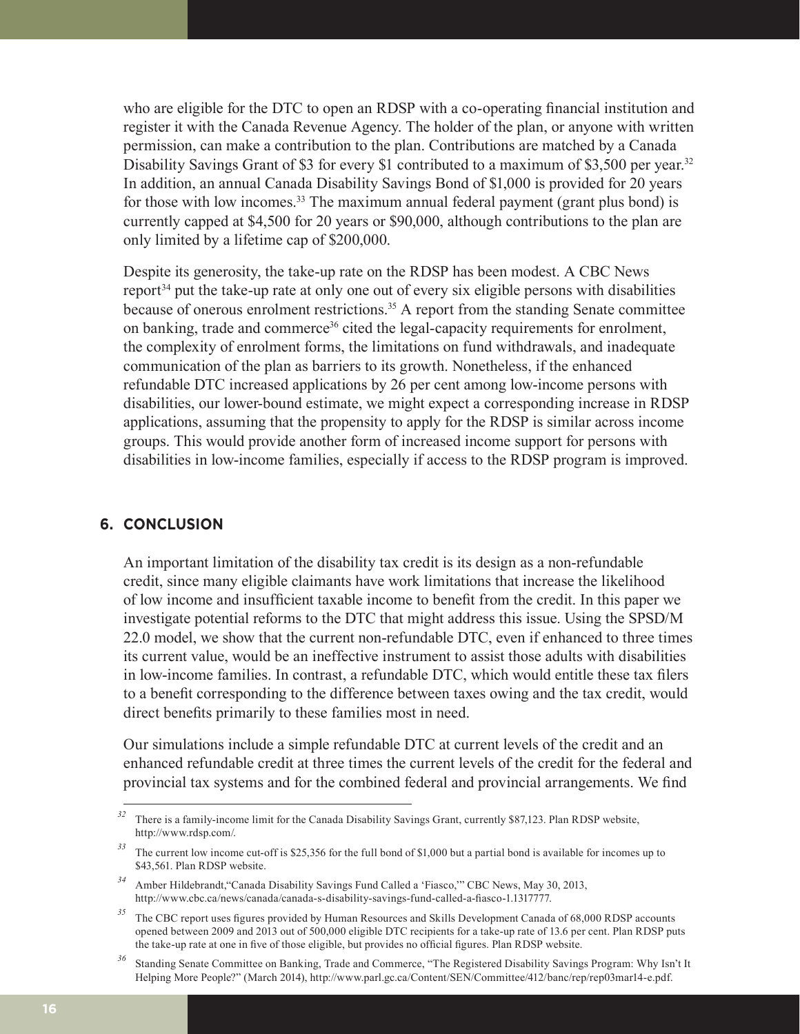who are eligible for the DTC to open an RDSP with a co-operating financial institution and register it with the Canada Revenue Agency. The holder of the plan, or anyone with written permission, can make a contribution to the plan. Contributions are matched by a Canada Disability Savings Grant of \$3 for every \$1 contributed to a maximum of \$3,500 per year.<sup>32</sup> In addition, an annual Canada Disability Savings Bond of \$1,000 is provided for 20 years for those with low incomes.33 The maximum annual federal payment (grant plus bond) is currently capped at \$4,500 for 20 years or \$90,000, although contributions to the plan are only limited by a lifetime cap of \$200,000.

Despite its generosity, the take-up rate on the RDSP has been modest. A CBC News report<sup>34</sup> put the take-up rate at only one out of every six eligible persons with disabilities because of onerous enrolment restrictions.<sup>35</sup> A report from the standing Senate committee on banking, trade and commerce<sup>36</sup> cited the legal-capacity requirements for enrolment, the complexity of enrolment forms, the limitations on fund withdrawals, and inadequate communication of the plan as barriers to its growth. Nonetheless, if the enhanced refundable DTC increased applications by 26 per cent among low-income persons with disabilities, our lower-bound estimate, we might expect a corresponding increase in RDSP applications, assuming that the propensity to apply for the RDSP is similar across income groups. This would provide another form of increased income support for persons with disabilities in low-income families, especially if access to the RDSP program is improved.

# **6. CONCLUSION**

An important limitation of the disability tax credit is its design as a non-refundable credit, since many eligible claimants have work limitations that increase the likelihood of low income and insufficient taxable income to benefit from the credit. In this paper we investigate potential reforms to the DTC that might address this issue. Using the SPSD/M 22.0 model, we show that the current non-refundable DTC, even if enhanced to three times its current value, would be an ineffective instrument to assist those adults with disabilities in low-income families. In contrast, a refundable DTC, which would entitle these tax filers to a benefit corresponding to the difference between taxes owing and the tax credit, would direct benefits primarily to these families most in need.

Our simulations include a simple refundable DTC at current levels of the credit and an enhanced refundable credit at three times the current levels of the credit for the federal and provincial tax systems and for the combined federal and provincial arrangements. We find

*<sup>32</sup>* There is a family-income limit for the Canada Disability Savings Grant, currently \$87,123. Plan RDSP website, http://www.rdsp.com/.

*<sup>33</sup>* The current low income cut-off is \$25,356 for the full bond of \$1,000 but a partial bond is available for incomes up to \$43,561. Plan RDSP website.

<sup>&</sup>lt;sup>34</sup> Amber Hildebrandt, "Canada Disability Savings Fund Called a 'Fiasco," CBC News, May 30, 2013, http://www.cbc.ca/news/canada/canada-s-disability-savings-fund-called-a-fiasco-1.1317777.

<sup>&</sup>lt;sup>35</sup> The CBC report uses figures provided by Human Resources and Skills Development Canada of 68,000 RDSP accounts opened between 2009 and 2013 out of 500,000 eligible DTC recipients for a take-up rate of 13.6 per cent. Plan RDSP puts the take-up rate at one in five of those eligible, but provides no official figures. Plan RDSP website.

*<sup>36</sup>* Standing Senate Committee on Banking, Trade and Commerce, "The Registered Disability Savings Program: Why Isn't It Helping More People?" (March 2014), http://www.parl.gc.ca/Content/SEN/Committee/412/banc/rep/rep03mar14-e.pdf.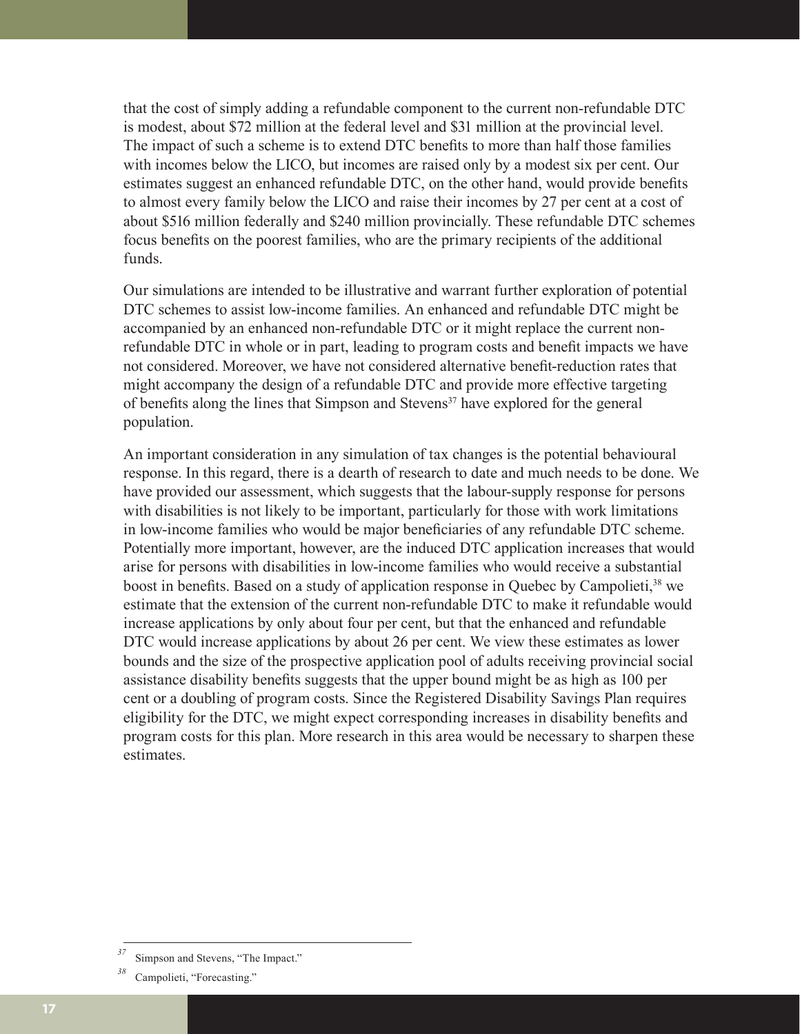that the cost of simply adding a refundable component to the current non-refundable DTC is modest, about \$72 million at the federal level and \$31 million at the provincial level. The impact of such a scheme is to extend DTC benefits to more than half those families with incomes below the LICO, but incomes are raised only by a modest six per cent. Our estimates suggest an enhanced refundable DTC, on the other hand, would provide benefits to almost every family below the LICO and raise their incomes by 27 per cent at a cost of about \$516 million federally and \$240 million provincially. These refundable DTC schemes focus benefits on the poorest families, who are the primary recipients of the additional funds.

Our simulations are intended to be illustrative and warrant further exploration of potential DTC schemes to assist low-income families. An enhanced and refundable DTC might be accompanied by an enhanced non-refundable DTC or it might replace the current nonrefundable DTC in whole or in part, leading to program costs and benefit impacts we have not considered. Moreover, we have not considered alternative benefit-reduction rates that might accompany the design of a refundable DTC and provide more effective targeting of benefits along the lines that Simpson and Stevens<sup>37</sup> have explored for the general population.

An important consideration in any simulation of tax changes is the potential behavioural response. In this regard, there is a dearth of research to date and much needs to be done. We have provided our assessment, which suggests that the labour-supply response for persons with disabilities is not likely to be important, particularly for those with work limitations in low-income families who would be major beneficiaries of any refundable DTC scheme. Potentially more important, however, are the induced DTC application increases that would arise for persons with disabilities in low-income families who would receive a substantial boost in benefits. Based on a study of application response in Quebec by Campolieti,<sup>38</sup> we estimate that the extension of the current non-refundable DTC to make it refundable would increase applications by only about four per cent, but that the enhanced and refundable DTC would increase applications by about 26 per cent. We view these estimates as lower bounds and the size of the prospective application pool of adults receiving provincial social assistance disability benefits suggests that the upper bound might be as high as 100 per cent or a doubling of program costs. Since the Registered Disability Savings Plan requires eligibility for the DTC, we might expect corresponding increases in disability benefits and program costs for this plan. More research in this area would be necessary to sharpen these estimates.

*<sup>37</sup>* Simpson and Stevens, "The Impact."

Campolieti, "Forecasting."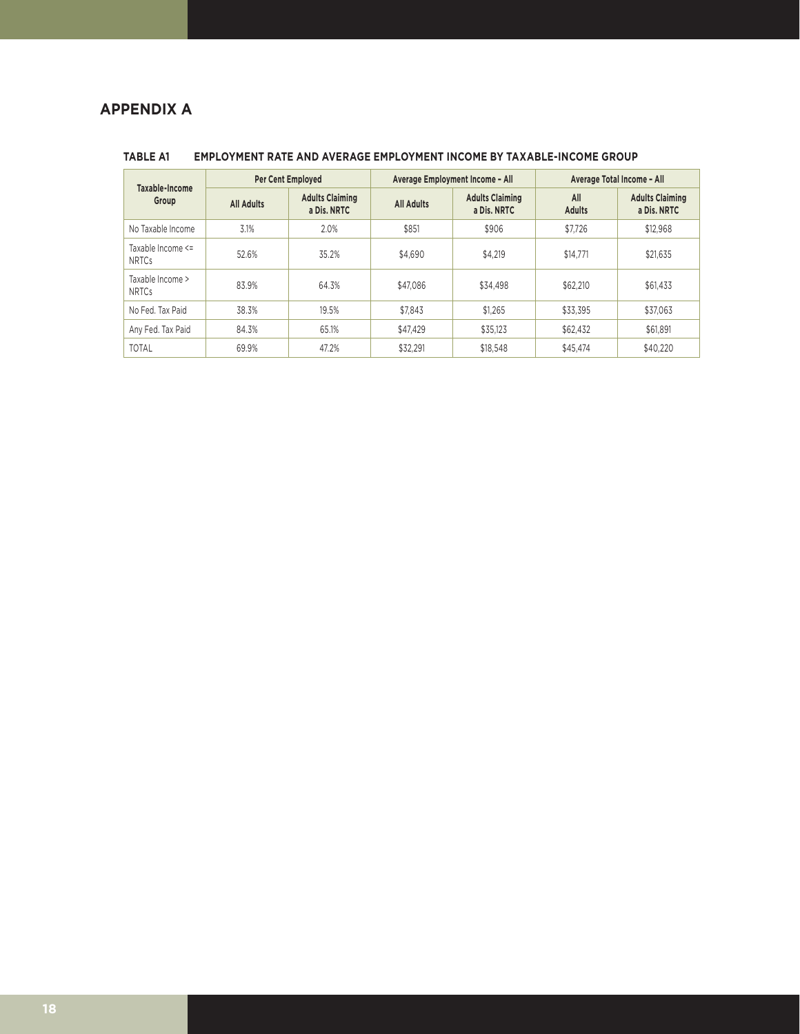# **APPENDIX A**

| Taxable-Income<br>Group           | Per Cent Employed |                                       |                   | Average Employment Income - All       | Average Total Income - All |                                       |  |
|-----------------------------------|-------------------|---------------------------------------|-------------------|---------------------------------------|----------------------------|---------------------------------------|--|
|                                   | <b>All Adults</b> | <b>Adults Claiming</b><br>a Dis. NRTC | <b>All Adults</b> | <b>Adults Claiming</b><br>a Dis. NRTC | All<br><b>Adults</b>       | <b>Adults Claiming</b><br>a Dis. NRTC |  |
| No Taxable Income                 | 3.1%              | 2.0%                                  | \$851             | \$906                                 | \$7.726                    | \$12,968                              |  |
| Taxable Income <=<br><b>NRTCs</b> | 52.6%             | 35.2%                                 | \$4,690           | \$4.219                               | \$14.771                   | \$21,635                              |  |
| Taxable Income ><br><b>NRTCs</b>  | 83.9%             | 64.3%                                 | \$47,086          | \$34.498                              | \$62,210                   | \$61.433                              |  |
| No Fed. Tax Paid                  | 38.3%             | 19.5%                                 | \$7.843           | \$1.265                               | \$33.395                   | \$37,063                              |  |
| Any Fed. Tax Paid                 | 84.3%             | 65.1%                                 | \$47,429          | \$35,123                              | \$62,432                   | \$61.891                              |  |
| <b>TOTAL</b>                      | 69.9%             | 47.2%                                 | \$32.291          | \$18,548                              | \$45.474                   | \$40.220                              |  |

#### **TABLE A1 EMPLOYMENT RATE AND AVERAGE EMPLOYMENT INCOME BY TAXABLE-INCOME GROUP**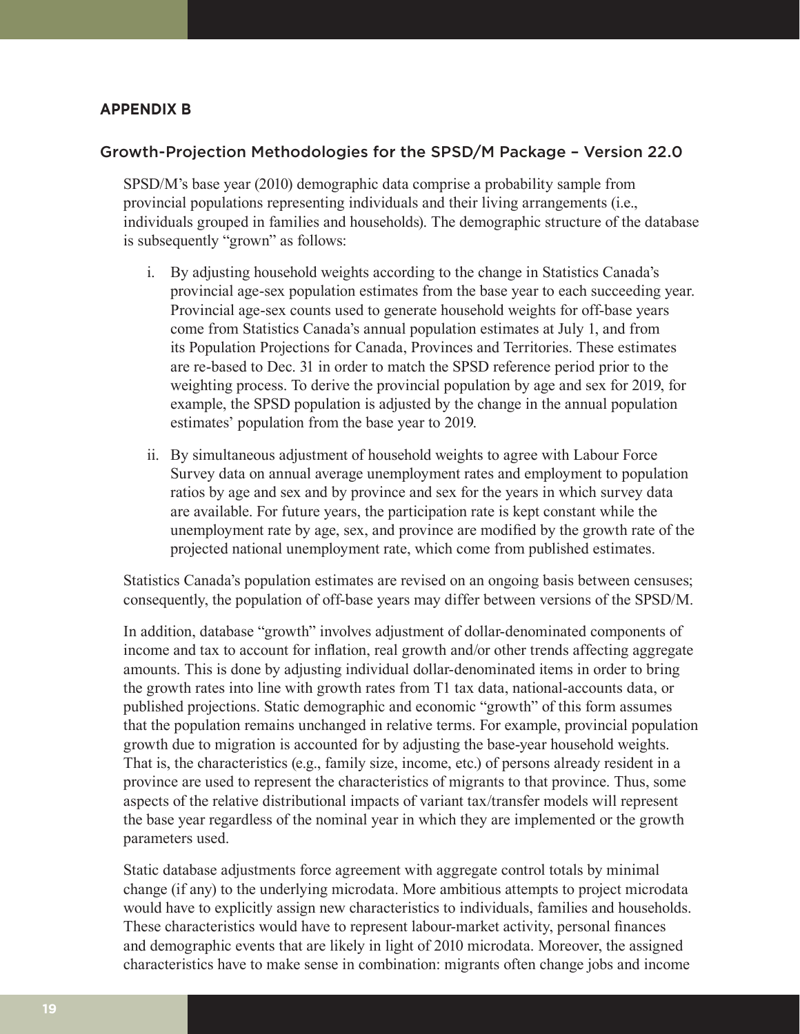# **APPENDIX B**

# Growth-Projection Methodologies for the SPSD/M Package – Version 22.0

SPSD/M's base year (2010) demographic data comprise a probability sample from provincial populations representing individuals and their living arrangements (i.e., individuals grouped in families and households). The demographic structure of the database is subsequently "grown" as follows:

- i. By adjusting household weights according to the change in Statistics Canada's provincial age-sex population estimates from the base year to each succeeding year. Provincial age-sex counts used to generate household weights for off-base years come from Statistics Canada's annual population estimates at July 1, and from its Population Projections for Canada, Provinces and Territories. These estimates are re-based to Dec. 31 in order to match the SPSD reference period prior to the weighting process. To derive the provincial population by age and sex for 2019, for example, the SPSD population is adjusted by the change in the annual population estimates' population from the base year to 2019.
- ii. By simultaneous adjustment of household weights to agree with Labour Force Survey data on annual average unemployment rates and employment to population ratios by age and sex and by province and sex for the years in which survey data are available. For future years, the participation rate is kept constant while the unemployment rate by age, sex, and province are modified by the growth rate of the projected national unemployment rate, which come from published estimates.

Statistics Canada's population estimates are revised on an ongoing basis between censuses; consequently, the population of off-base years may differ between versions of the SPSD/M.

In addition, database "growth" involves adjustment of dollar-denominated components of income and tax to account for inflation, real growth and/or other trends affecting aggregate amounts. This is done by adjusting individual dollar-denominated items in order to bring the growth rates into line with growth rates from T1 tax data, national-accounts data, or published projections. Static demographic and economic "growth" of this form assumes that the population remains unchanged in relative terms. For example, provincial population growth due to migration is accounted for by adjusting the base-year household weights. That is, the characteristics (e.g., family size, income, etc.) of persons already resident in a province are used to represent the characteristics of migrants to that province. Thus, some aspects of the relative distributional impacts of variant tax/transfer models will represent the base year regardless of the nominal year in which they are implemented or the growth parameters used.

Static database adjustments force agreement with aggregate control totals by minimal change (if any) to the underlying microdata. More ambitious attempts to project microdata would have to explicitly assign new characteristics to individuals, families and households. These characteristics would have to represent labour-market activity, personal finances and demographic events that are likely in light of 2010 microdata. Moreover, the assigned characteristics have to make sense in combination: migrants often change jobs and income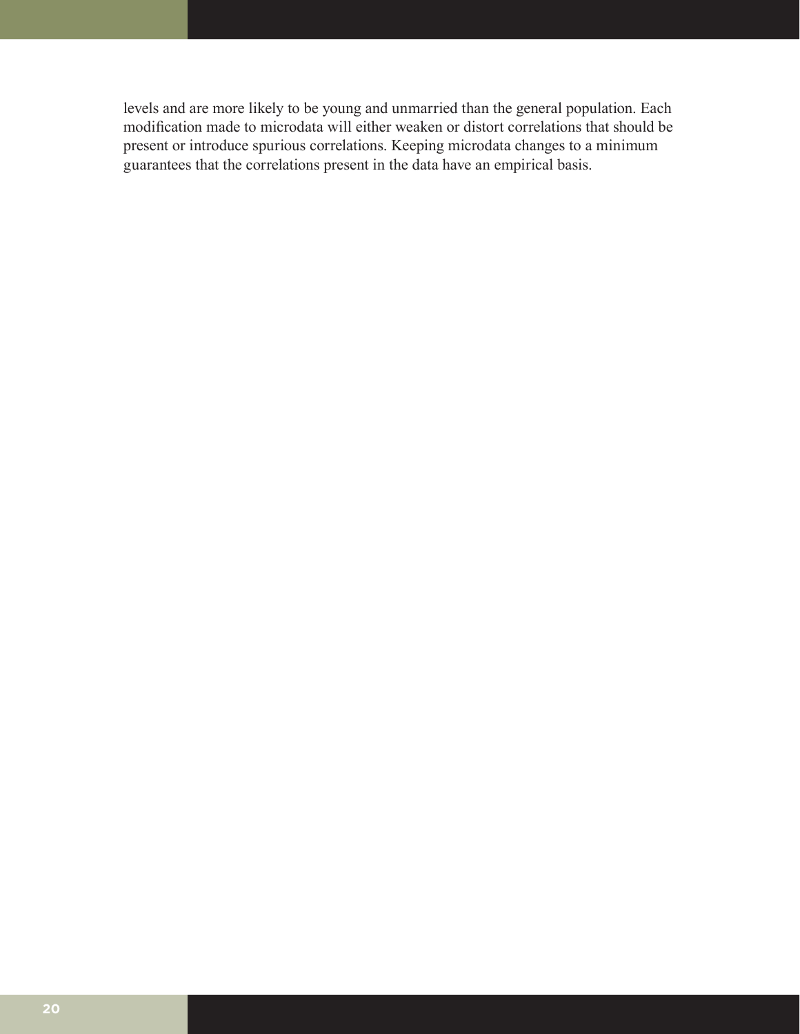levels and are more likely to be young and unmarried than the general population. Each modification made to microdata will either weaken or distort correlations that should be present or introduce spurious correlations. Keeping microdata changes to a minimum guarantees that the correlations present in the data have an empirical basis.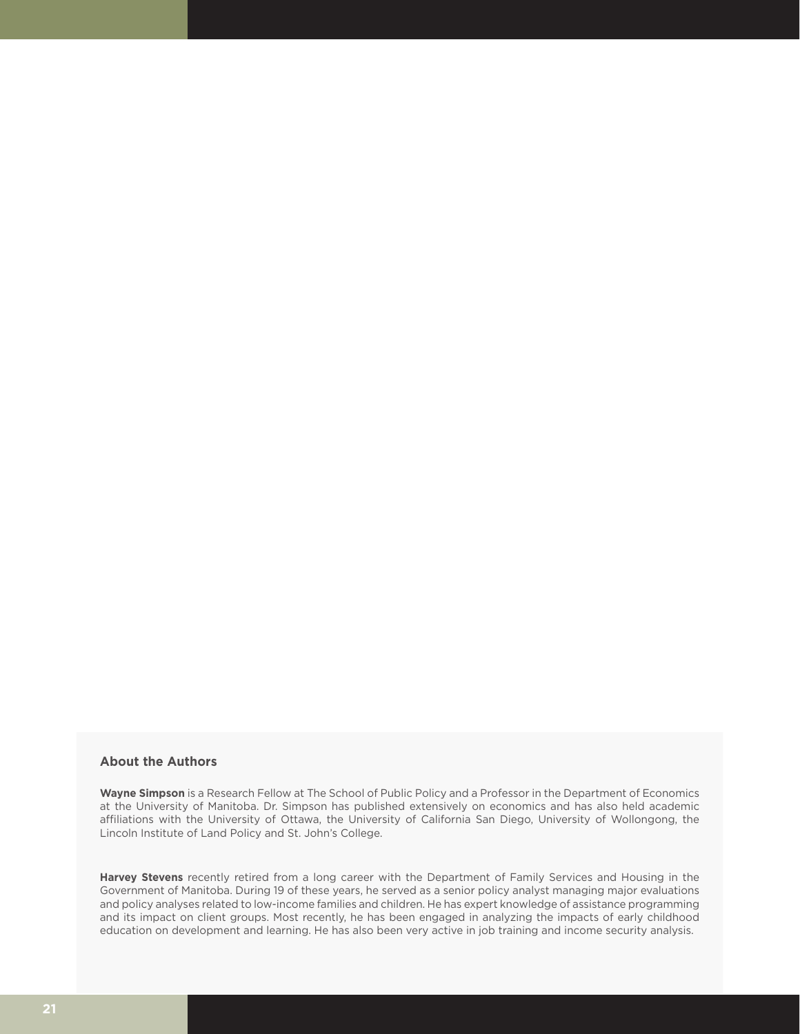## **About the Authors**

**Wayne Simpson** is a Research Fellow at The School of Public Policy and a Professor in the Department of Economics at the University of Manitoba. Dr. Simpson has published extensively on economics and has also held academic affiliations with the University of Ottawa, the University of California San Diego, University of Wollongong, the Lincoln Institute of Land Policy and St. John's College.

**Harvey Stevens** recently retired from a long career with the Department of Family Services and Housing in the Government of Manitoba. During 19 of these years, he served as a senior policy analyst managing major evaluations and policy analyses related to low-income families and children. He has expert knowledge of assistance programming and its impact on client groups. Most recently, he has been engaged in analyzing the impacts of early childhood education on development and learning. He has also been very active in job training and income security analysis.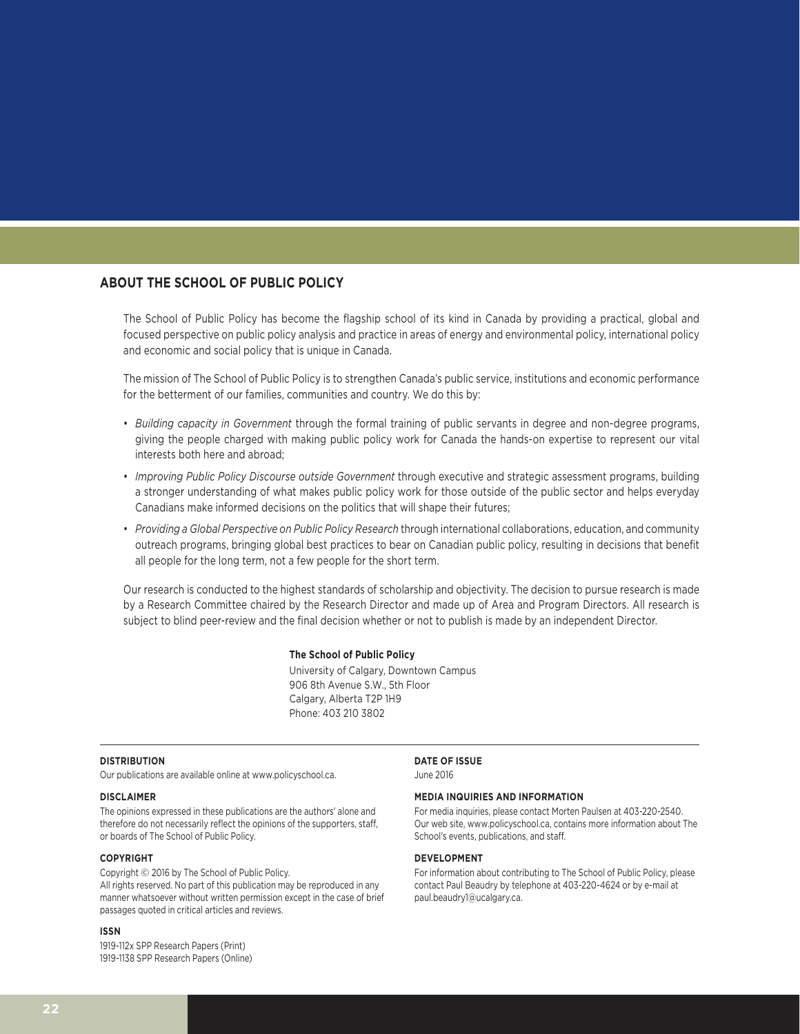# **ABOUT THE SCHOOL OF PUBLIC POLICY**

The School of Public Policy has become the flagship school of its kind in Canada by providing a practical, global and focused perspective on public policy analysis and practice in areas of energy and environmental policy, international policy and economic and social policy that is unique in Canada.

The mission of The School of Public Policy is to strengthen Canada's public service, institutions and economic performance for the betterment of our families, communities and country. We do this by:

- *Building capacity in Government* through the formal training of public servants in degree and non-degree programs, giving the people charged with making public policy work for Canada the hands-on expertise to represent our vital interests both here and abroad;
- *Improving Public Policy Discourse outside Government* through executive and strategic assessment programs, building a stronger understanding of what makes public policy work for those outside of the public sector and helps everyday Canadians make informed decisions on the politics that will shape their futures;
- *Providing a Global Perspective on Public Policy Research* through international collaborations, education, and community outreach programs, bringing global best practices to bear on Canadian public policy, resulting in decisions that benefit all people for the long term, not a few people for the short term.

Our research is conducted to the highest standards of scholarship and objectivity. The decision to pursue research is made by a Research Committee chaired by the Research Director and made up of Area and Program Directors. All research is subject to blind peer-review and the final decision whether or not to publish is made by an independent Director.

#### **The School of Public Policy**

University of Calgary, Downtown Campus 906 8th Avenue S.W., 5th Floor Calgary, Alberta T2P 1H9 Phone: 403 210 3802

#### **DISTRIBUTION**

Our publications are available online at www.policyschool.ca.

#### **DISCLAIMER**

The opinions expressed in these publications are the authors' alone and therefore do not necessarily reflect the opinions of the supporters, staff, or boards of The School of Public Policy.

#### **COPYRIGHT**

Copyright © 2016 by The School of Public Policy. All rights reserved. No part of this publication may be reproduced in any manner whatsoever without written permission except in the case of brief passages quoted in critical articles and reviews.

#### **ISSN**

1919-112x SPP Research Papers (Print) 1919-1138 SPP Research Papers (Online)

## **DATE OF ISSUE**

June 2016

#### **MEDIA INQUIRIES AND INFORMATION**

For media inquiries, please contact Morten Paulsen at 403-220-2540. Our web site, www.policyschool.ca, contains more information about The School's events, publications, and staff.

#### **DEVELOPMENT**

For information about contributing to The School of Public Policy, please contact Paul Beaudry by telephone at 403-220-4624 or by e-mail at paul.beaudry1@ucalgary.ca.